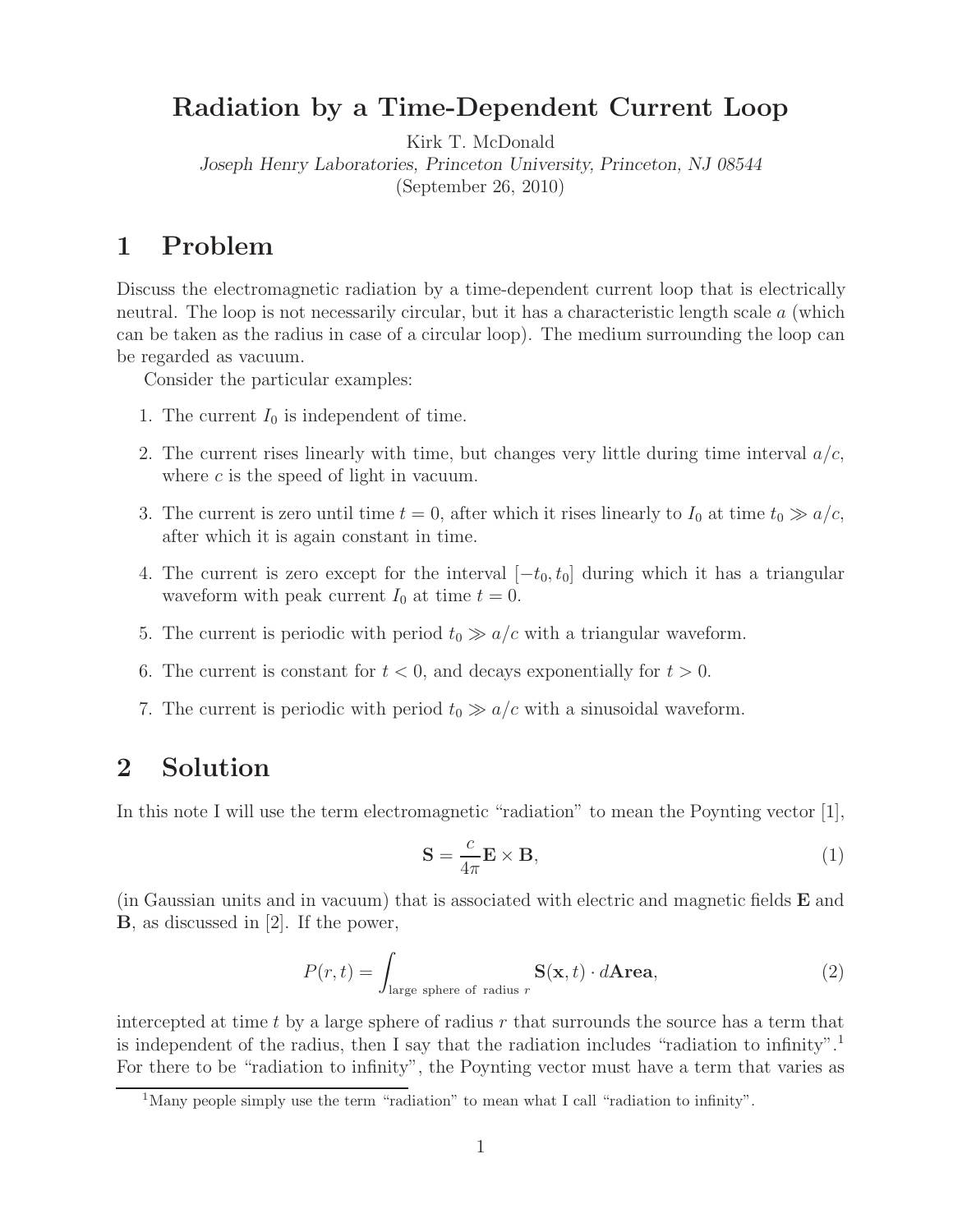# **Radiation by a Time-Dependent Current Loop**

Kirk T. McDonald

*Joseph Henry Laboratories, Princeton University, Princeton, NJ 08544*

(September 26, 2010)

# **1 Problem**

Discuss the electromagnetic radiation by a time-dependent current loop that is electrically neutral. The loop is not necessarily circular, but it has a characteristic length scale a (which can be taken as the radius in case of a circular loop). The medium surrounding the loop can be regarded as vacuum.

Consider the particular examples:

- 1. The current  $I_0$  is independent of time.
- 2. The current rises linearly with time, but changes very little during time interval  $a/c$ , where  $c$  is the speed of light in vacuum.
- 3. The current is zero until time  $t = 0$ , after which it rises linearly to  $I_0$  at time  $t_0 \gg a/c$ , after which it is again constant in time.
- 4. The current is zero except for the interval  $[-t_0, t_0]$  during which it has a triangular waveform with peak current  $I_0$  at time  $t = 0$ .
- 5. The current is periodic with period  $t_0 \gg a/c$  with a triangular waveform.
- 6. The current is constant for  $t < 0$ , and decays exponentially for  $t > 0$ .
- 7. The current is periodic with period  $t_0 \gg a/c$  with a sinusoidal waveform.

# **2 Solution**

In this note I will use the term electromagnetic "radiation" to mean the Poynting vector [1],

$$
\mathbf{S} = \frac{c}{4\pi} \mathbf{E} \times \mathbf{B},\tag{1}
$$

(in Gaussian units and in vacuum) that is associated with electric and magnetic fields **E** and **B**, as discussed in [2]. If the power,

$$
P(r,t) = \int_{\text{large sphere of radius } r} \mathbf{S}(\mathbf{x},t) \cdot d\mathbf{Area},\tag{2}
$$

intercepted at time t by a large sphere of radius  $r$  that surrounds the source has a term that is independent of the radius, then I say that the radiation includes "radiation to infinity".<sup>1</sup> For there to be "radiation to infinity", the Poynting vector must have a term that varies as

<sup>&</sup>lt;sup>1</sup>Many people simply use the term "radiation" to mean what I call "radiation to infinity".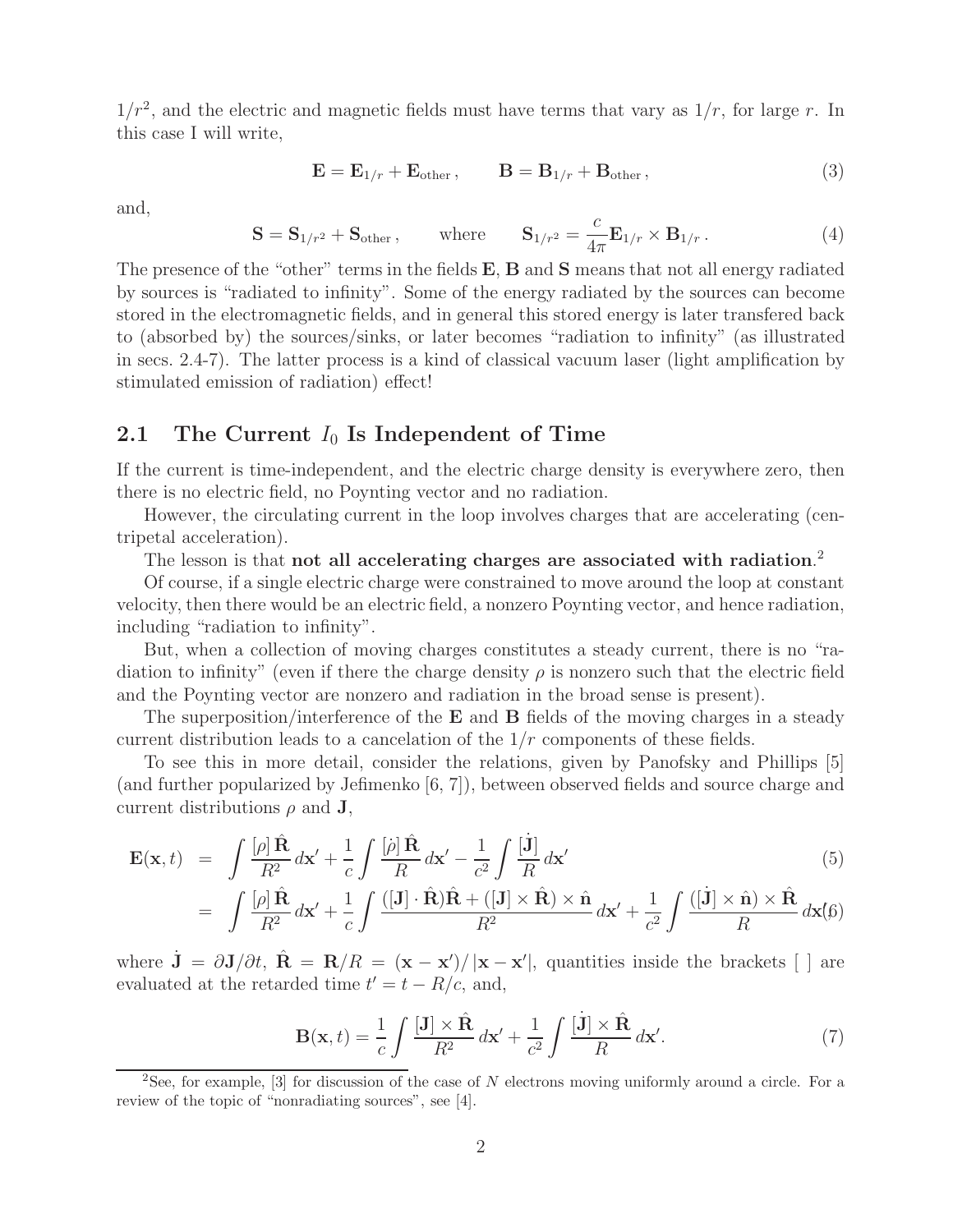$1/r^2$ , and the electric and magnetic fields must have terms that vary as  $1/r$ , for large r. In this case I will write,

$$
\mathbf{E} = \mathbf{E}_{1/r} + \mathbf{E}_{\text{other}} , \qquad \mathbf{B} = \mathbf{B}_{1/r} + \mathbf{B}_{\text{other}} , \qquad (3)
$$

and,

$$
\mathbf{S} = \mathbf{S}_{1/r^2} + \mathbf{S}_{\text{other}} , \quad \text{where} \quad \mathbf{S}_{1/r^2} = \frac{c}{4\pi} \mathbf{E}_{1/r} \times \mathbf{B}_{1/r} . \tag{4}
$$

The presence of the "other" terms in the fields **E**, **B** and **S** means that not all energy radiated by sources is "radiated to infinity". Some of the energy radiated by the sources can become stored in the electromagnetic fields, and in general this stored energy is later transfered back to (absorbed by) the sources/sinks, or later becomes "radiation to infinity" (as illustrated in secs. 2.4-7). The latter process is a kind of classical vacuum laser (light amplification by stimulated emission of radiation) effect!

## **2.1** The Current  $I_0$  **Is Independent of Time**

If the current is time-independent, and the electric charge density is everywhere zero, then there is no electric field, no Poynting vector and no radiation.

However, the circulating current in the loop involves charges that are accelerating (centripetal acceleration).

The lesson is that **not all accelerating charges are associated with radiation**. 2

Of course, if a single electric charge were constrained to move around the loop at constant velocity, then there would be an electric field, a nonzero Poynting vector, and hence radiation, including "radiation to infinity".

But, when a collection of moving charges constitutes a steady current, there is no "radiation to infinity" (even if there the charge density  $\rho$  is nonzero such that the electric field and the Poynting vector are nonzero and radiation in the broad sense is present).

The superposition/interference of the **E** and **B** fields of the moving charges in a steady current distribution leads to a cancelation of the  $1/r$  components of these fields.

To see this in more detail, consider the relations, given by Panofsky and Phillips [5] (and further popularized by Jefimenko [6, 7]), between observed fields and source charge and current distributions  $\rho$  and **J**,

$$
\mathbf{E}(\mathbf{x},t) = \int \frac{[\rho] \hat{\mathbf{R}}}{R^2} d\mathbf{x}' + \frac{1}{c} \int \frac{[\rho] \hat{\mathbf{R}}}{R} d\mathbf{x}' - \frac{1}{c^2} \int \frac{[\mathbf{j}]}{R} d\mathbf{x}'
$$
(5)

$$
= \int \frac{[\rho] \hat{\mathbf{R}}}{R^2} d\mathbf{x}' + \frac{1}{c} \int \frac{([\mathbf{J}] \cdot \hat{\mathbf{R}}) \hat{\mathbf{R}} + ([\mathbf{J}] \times \hat{\mathbf{R}}) \times \hat{\mathbf{n}}}{R^2} d\mathbf{x}' + \frac{1}{c^2} \int \frac{([\mathbf{j}] \times \hat{\mathbf{n}}) \times \hat{\mathbf{R}}}{R} d\mathbf{x}'(\beta)
$$

where  $\dot{\mathbf{J}} = \partial \mathbf{J}/\partial t$ ,  $\hat{\mathbf{R}} = \mathbf{R}/R = (\mathbf{x} - \mathbf{x}')/|\mathbf{x} - \mathbf{x}'|$ , quantities inside the brackets [ ] are evaluated at the retarded time  $t' = t - R/c$ , and,

$$
\mathbf{B}(\mathbf{x},t) = \frac{1}{c} \int \frac{[\mathbf{J}] \times \hat{\mathbf{R}}}{R^2} d\mathbf{x}' + \frac{1}{c^2} \int \frac{[\dot{\mathbf{J}}] \times \hat{\mathbf{R}}}{R} d\mathbf{x}'. \tag{7}
$$

<sup>2</sup>See, for example, [3] for discussion of the case of *N* electrons moving uniformly around a circle. For a review of the topic of "nonradiating sources", see [4].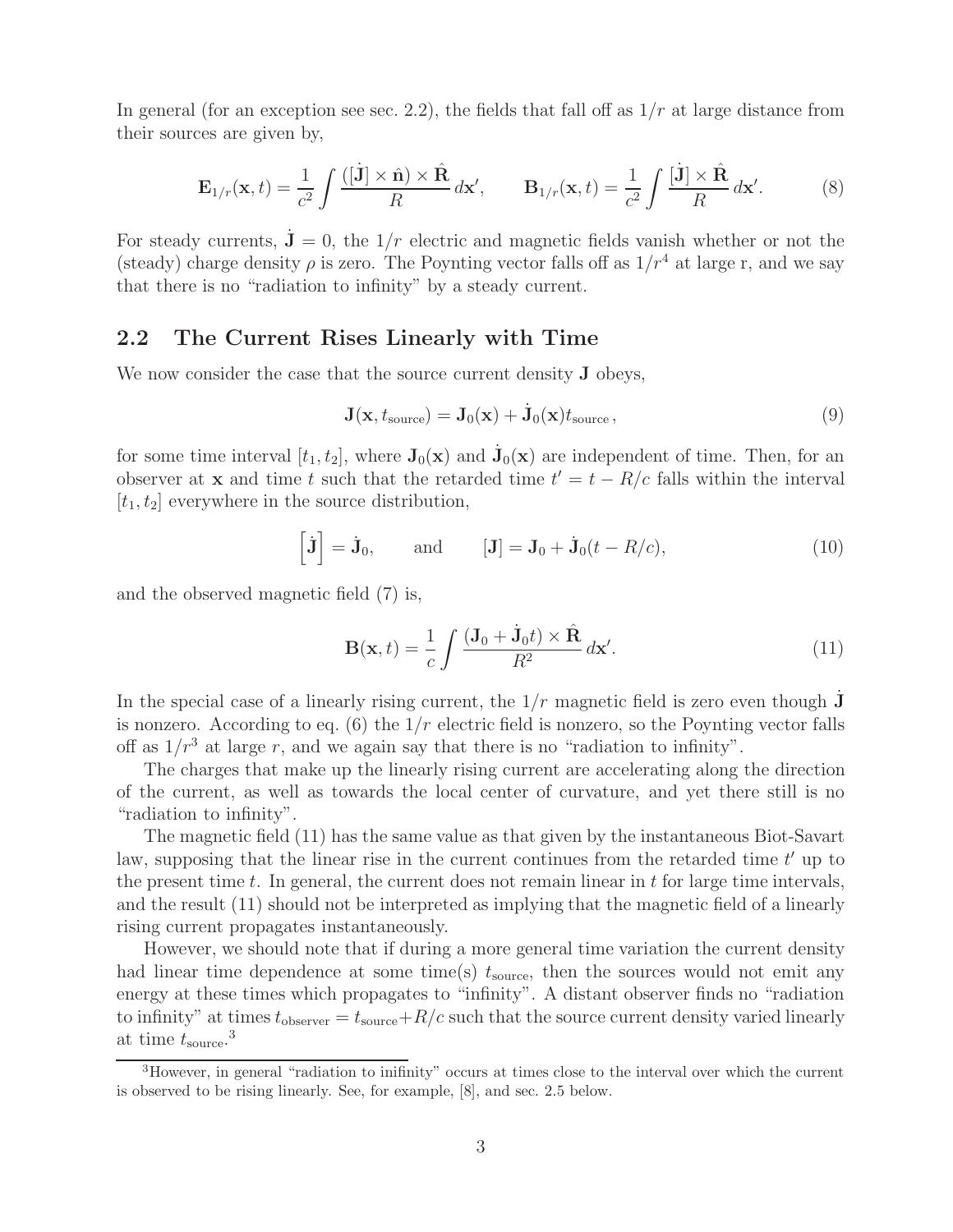In general (for an exception see sec. 2.2), the fields that fall off as  $1/r$  at large distance from their sources are given by,

$$
\mathbf{E}_{1/r}(\mathbf{x},t) = \frac{1}{c^2} \int \frac{([\dot{\mathbf{J}}] \times \hat{\mathbf{n}}) \times \hat{\mathbf{R}}}{R} d\mathbf{x}', \qquad \mathbf{B}_{1/r}(\mathbf{x},t) = \frac{1}{c^2} \int \frac{[\dot{\mathbf{J}}] \times \hat{\mathbf{R}}}{R} d\mathbf{x}'. \tag{8}
$$

For steady currents,  $\mathbf{J} = 0$ , the  $1/r$  electric and magnetic fields vanish whether or not the (steady) charge density  $\rho$  is zero. The Poynting vector falls off as  $1/r^4$  at large r, and we say that there is no "radiation to infinity" by a steady current.

## **2.2 The Current Rises Linearly with Time**

We now consider the case that the source current density **J** obeys,

$$
\mathbf{J}(\mathbf{x}, t_{\text{source}}) = \mathbf{J}_0(\mathbf{x}) + \dot{\mathbf{J}}_0(\mathbf{x})t_{\text{source}},
$$
\n(9)

for some time interval  $[t_1, t_2]$ , where  $J_0(x)$  and  $J_0(x)$  are independent of time. Then, for an observer at **x** and time t such that the retarded time  $t' = t - R/c$  falls within the interval  $[t_1, t_2]$  everywhere in the source distribution,

$$
\[\mathbf{\dot{J}}\] = \mathbf{\dot{J}}_0, \qquad \text{and} \qquad [\mathbf{J}] = \mathbf{J}_0 + \mathbf{\dot{J}}_0(t - R/c), \tag{10}
$$

and the observed magnetic field (7) is,

$$
\mathbf{B}(\mathbf{x},t) = \frac{1}{c} \int \frac{(\mathbf{J}_0 + \dot{\mathbf{J}}_0 t) \times \hat{\mathbf{R}}}{R^2} d\mathbf{x}'.
$$
 (11)

In the special case of a linearly rising current, the  $1/r$  magnetic field is zero even though **J** is nonzero. According to eq.  $(6)$  the  $1/r$  electric field is nonzero, so the Poynting vector falls off as  $1/r^3$  at large r, and we again say that there is no "radiation to infinity".

The charges that make up the linearly rising current are accelerating along the direction of the current, as well as towards the local center of curvature, and yet there still is no "radiation to infinity".

The magnetic field (11) has the same value as that given by the instantaneous Biot-Savart law, supposing that the linear rise in the current continues from the retarded time  $t'$  up to the present time t. In general, the current does not remain linear in t for large time intervals, and the result (11) should not be interpreted as implying that the magnetic field of a linearly rising current propagates instantaneously.

However, we should note that if during a more general time variation the current density had linear time dependence at some time(s)  $t_{\text{source}}$ , then the sources would not emit any energy at these times which propagates to "infinity". A distant observer finds no "radiation to infinity" at times  $t_{\text{observer}} = t_{\text{source}} + R/c$  such that the source current density varied linearly at time  $t_{\text{source}}$ <sup>3</sup>

<sup>3</sup>However, in general "radiation to inifinity" occurs at times close to the interval over which the current is observed to be rising linearly. See, for example, [8], and sec. 2.5 below.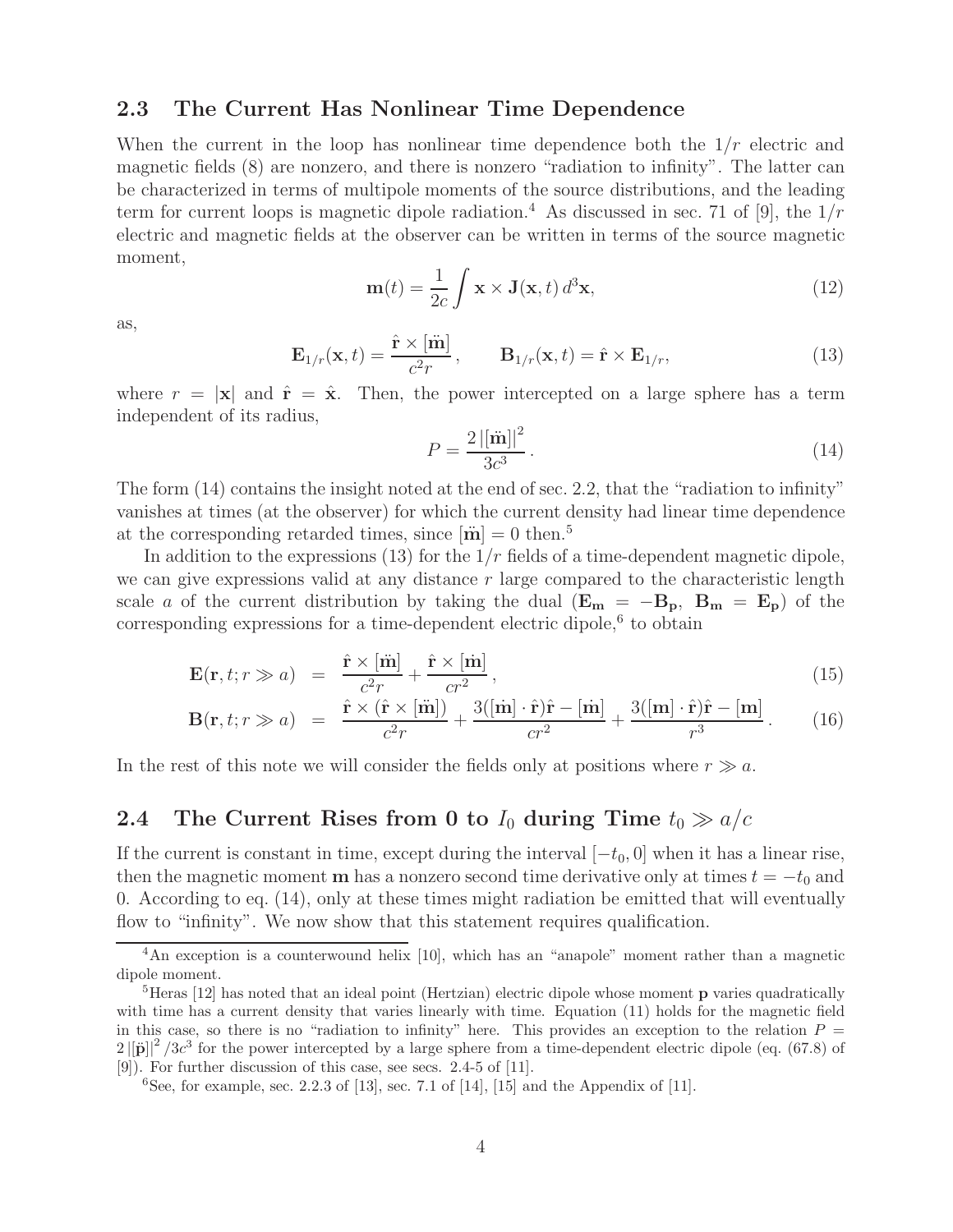## **2.3 The Current Has Nonlinear Time Dependence**

When the current in the loop has nonlinear time dependence both the  $1/r$  electric and magnetic fields (8) are nonzero, and there is nonzero "radiation to infinity". The latter can be characterized in terms of multipole moments of the source distributions, and the leading term for current loops is magnetic dipole radiation.<sup>4</sup> As discussed in sec. 71 of [9], the  $1/r$ electric and magnetic fields at the observer can be written in terms of the source magnetic moment,

$$
\mathbf{m}(t) = \frac{1}{2c} \int \mathbf{x} \times \mathbf{J}(\mathbf{x}, t) d^3 \mathbf{x}, \qquad (12)
$$

as,

$$
\mathbf{E}_{1/r}(\mathbf{x},t) = \frac{\hat{\mathbf{r}} \times [\ddot{\mathbf{m}}]}{c^2 r}, \qquad \mathbf{B}_{1/r}(\mathbf{x},t) = \hat{\mathbf{r}} \times \mathbf{E}_{1/r}, \qquad (13)
$$

where  $r = |\mathbf{x}|$  and  $\hat{\mathbf{r}} = \hat{\mathbf{x}}$ . Then, the power intercepted on a large sphere has a term independent of its radius,

$$
P = \frac{2\left|[\ddot{\mathbf{m}}]\right|^2}{3c^3}.
$$
\n(14)

The form (14) contains the insight noted at the end of sec. 2.2, that the "radiation to infinity" vanishes at times (at the observer) for which the current density had linear time dependence at the corresponding retarded times, since  $[\ddot{\mathbf{m}}] = 0$  then.<sup>5</sup>

In addition to the expressions (13) for the  $1/r$  fields of a time-dependent magnetic dipole, we can give expressions valid at any distance  $r$  large compared to the characteristic length scale a of the current distribution by taking the dual  $(E_m = -B_p, B_m = E_p)$  of the corresponding expressions for a time-dependent electric dipole, $6$  to obtain

$$
\mathbf{E}(\mathbf{r}, t; r \gg a) = \frac{\hat{\mathbf{r}} \times [\dot{\mathbf{m}}]}{c^2 r} + \frac{\hat{\mathbf{r}} \times [\dot{\mathbf{m}}]}{cr^2}, \qquad (15)
$$

$$
\mathbf{B}(\mathbf{r},t;r\gg a) = \frac{\hat{\mathbf{r}} \times (\hat{\mathbf{r}} \times [\hat{\mathbf{m}}])}{c^2 r} + \frac{3([\hat{\mathbf{m}}] \cdot \hat{\mathbf{r}})\hat{\mathbf{r}} - [\hat{\mathbf{m}}]}{cr^2} + \frac{3([\mathbf{m}] \cdot \hat{\mathbf{r}})\hat{\mathbf{r}} - [\mathbf{m}]}{r^3}.
$$
 (16)

In the rest of this note we will consider the fields only at positions where  $r \gg a$ .

# **2.4** The Current Rises from 0 to  $I_0$  during Time  $t_0 \gg a/c$

If the current is constant in time, except during the interval  $[-t_0, 0]$  when it has a linear rise, then the magnetic moment **m** has a nonzero second time derivative only at times  $t = -t_0$  and 0. According to eq. (14), only at these times might radiation be emitted that will eventually flow to "infinity". We now show that this statement requires qualification.

<sup>&</sup>lt;sup>4</sup>An exception is a counterwound helix [10], which has an "anapole" moment rather than a magnetic dipole moment.

<sup>5</sup>Heras [12] has noted that an ideal point (Hertzian) electric dipole whose moment **p** varies quadratically with time has a current density that varies linearly with time. Equation (11) holds for the magnetic field in this case, so there is no "radiation to infinity" here. This provides an exception to the relation  $P =$  $2\left|\vec{\mathbf{p}}\right|^2/3c^3$  for the power intercepted by a large sphere from a time-dependent electric dipole (eq. (67.8) of [9]). For further discussion of this case, see secs. 2.4-5 of [11].

 ${}^{6}$ See, for example, sec. 2.2.3 of [13], sec. 7.1 of [14], [15] and the Appendix of [11].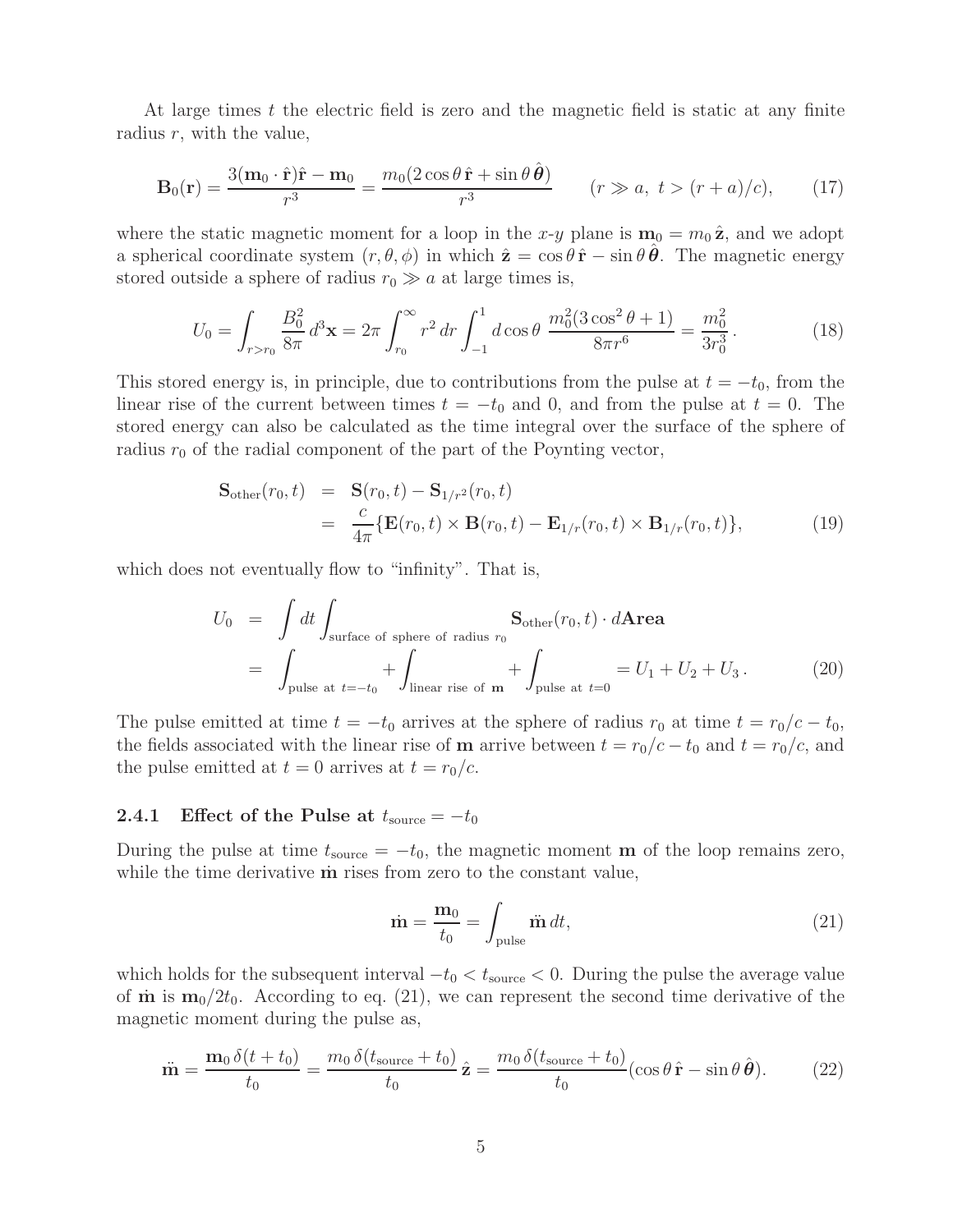At large times  $t$  the electric field is zero and the magnetic field is static at any finite radius  $r$ , with the value,

$$
\mathbf{B}_0(\mathbf{r}) = \frac{3(\mathbf{m}_0 \cdot \hat{\mathbf{r}})\hat{\mathbf{r}} - \mathbf{m}_0}{r^3} = \frac{m_0(2\cos\theta\,\hat{\mathbf{r}} + \sin\theta\,\hat{\boldsymbol{\theta}})}{r^3} \qquad (r \gg a, \ t > (r+a)/c), \tag{17}
$$

where the static magnetic moment for a loop in the x-y plane is  $\mathbf{m}_0 = m_0 \hat{\mathbf{z}}$ , and we adopt a spherical coordinate system  $(r, \theta, \phi)$  in which  $\hat{\mathbf{z}} = \cos \theta \hat{\mathbf{r}} - \sin \theta \hat{\mathbf{\theta}}$ . The magnetic energy stored outside a sphere of radius  $r_0 \gg a$  at large times is,

$$
U_0 = \int_{r>r_0} \frac{B_0^2}{8\pi} d^3 \mathbf{x} = 2\pi \int_{r_0}^{\infty} r^2 dr \int_{-1}^1 d\cos\theta \, \frac{m_0^2 (3\cos^2\theta + 1)}{8\pi r^6} = \frac{m_0^2}{3r_0^3}.
$$
 (18)

This stored energy is, in principle, due to contributions from the pulse at  $t = -t_0$ , from the linear rise of the current between times  $t = -t_0$  and 0, and from the pulse at  $t = 0$ . The stored energy can also be calculated as the time integral over the surface of the sphere of radius  $r_0$  of the radial component of the part of the Poynting vector,

$$
\mathbf{S}_{\text{other}}(r_0, t) = \mathbf{S}(r_0, t) - \mathbf{S}_{1/r^2}(r_0, t)
$$
  
= 
$$
\frac{c}{4\pi} \{ \mathbf{E}(r_0, t) \times \mathbf{B}(r_0, t) - \mathbf{E}_{1/r}(r_0, t) \times \mathbf{B}_{1/r}(r_0, t) \},
$$
 (19)

which does not eventually flow to "infinity". That is,

$$
U_0 = \int dt \int_{\text{surface of sphere of radius } r_0} \mathbf{S}_{\text{other}}(r_0, t) \cdot d\mathbf{Area}
$$
  
= 
$$
\int_{\text{pulse at } t = -t_0} + \int_{\text{linear rise of } \mathbf{m}} + \int_{\text{pulse at } t = 0} = U_1 + U_2 + U_3.
$$
 (20)

The pulse emitted at time  $t = -t_0$  arrives at the sphere of radius  $r_0$  at time  $t = r_0/c - t_0$ , the fields associated with the linear rise of **m** arrive between  $t = r_0/c - t_0$  and  $t = r_0/c$ , and the pulse emitted at  $t = 0$  arrives at  $t = r_0/c$ .

#### **2.4.1** Effect of the Pulse at  $t_{\text{source}} = -t_0$

During the pulse at time  $t_{source} = -t_0$ , the magnetic moment **m** of the loop remains zero, while the time derivative **m** rises from zero to the constant value,

$$
\dot{\mathbf{m}} = \frac{\mathbf{m}_0}{t_0} = \int_{\text{pulse}} \ddot{\mathbf{m}} \, dt,\tag{21}
$$

which holds for the subsequent interval  $-t_0 < t_{source} < 0$ . During the pulse the average value of  $\dot{\mathbf{m}}$  is  $\mathbf{m}_0/2t_0$ . According to eq. (21), we can represent the second time derivative of the magnetic moment during the pulse as,

$$
\ddot{\mathbf{m}} = \frac{\mathbf{m}_0 \,\delta(t + t_0)}{t_0} = \frac{m_0 \,\delta(t_{\text{source}} + t_0)}{t_0} \,\hat{\mathbf{z}} = \frac{m_0 \,\delta(t_{\text{source}} + t_0)}{t_0} (\cos\theta \,\hat{\mathbf{r}} - \sin\theta \,\hat{\boldsymbol{\theta}}). \tag{22}
$$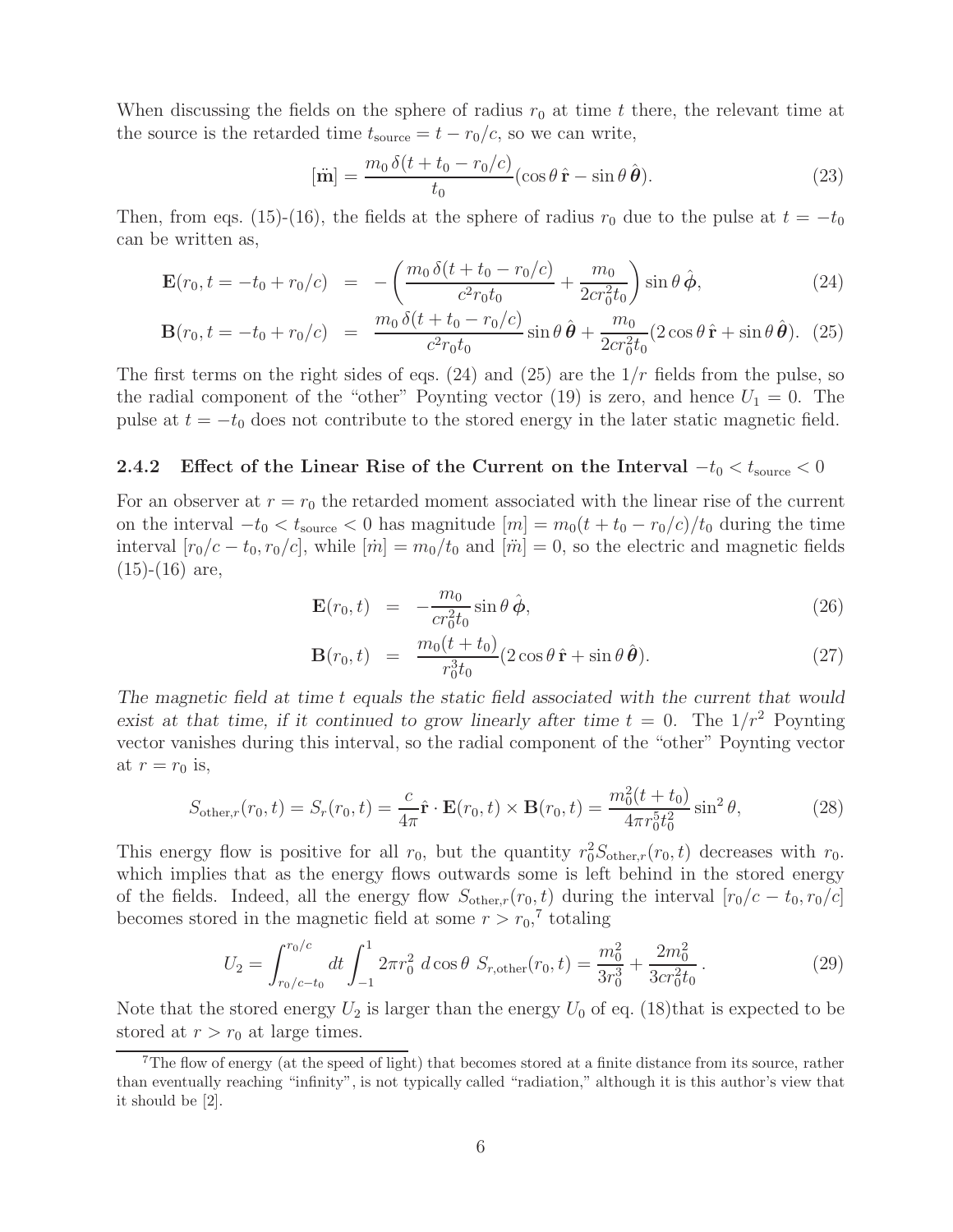When discussing the fields on the sphere of radius  $r_0$  at time t there, the relevant time at the source is the retarded time  $t_{\text{source}} = t - r_0/c$ , so we can write,

$$
[\ddot{\mathbf{m}}] = \frac{m_0 \,\delta(t + t_0 - r_0/c)}{t_0} (\cos\theta \,\hat{\mathbf{r}} - \sin\theta \,\hat{\boldsymbol{\theta}}). \tag{23}
$$

Then, from eqs. (15)-(16), the fields at the sphere of radius  $r_0$  due to the pulse at  $t = -t_0$ can be written as,

$$
\mathbf{E}(r_0, t = -t_0 + r_0/c) = -\left(\frac{m_0 \,\delta(t + t_0 - r_0/c)}{c^2 r_0 t_0} + \frac{m_0}{2cr_0^2 t_0}\right) \sin\theta \,\hat{\boldsymbol{\phi}},\tag{24}
$$

$$
\mathbf{B}(r_0, t = -t_0 + r_0/c) = \frac{m_0 \,\delta(t + t_0 - r_0/c)}{c^2 r_0 t_0} \sin \theta \,\hat{\boldsymbol{\theta}} + \frac{m_0}{2 c r_0^2 t_0} (2 \cos \theta \,\hat{\mathbf{r}} + \sin \theta \,\hat{\boldsymbol{\theta}}). \tag{25}
$$

The first terms on the right sides of eqs.  $(24)$  and  $(25)$  are the  $1/r$  fields from the pulse, so the radial component of the "other" Poynting vector (19) is zero, and hence  $U_1 = 0$ . The pulse at  $t = -t_0$  does not contribute to the stored energy in the later static magnetic field.

#### **2.4.2** Effect of the Linear Rise of the Current on the Interval  $-t_0 < t_{\text{source}} < 0$

For an observer at  $r = r_0$  the retarded moment associated with the linear rise of the current on the interval  $-t_0 < t_{source} < 0$  has magnitude  $[m] = m_0(t + t_0 - r_0/c)/t_0$  during the time interval  $[r_0/c - t_0, r_0/c]$ , while  $[\dot{m}] = m_0/t_0$  and  $[\ddot{m}] = 0$ , so the electric and magnetic fields  $(15)-(16)$  are,

$$
\mathbf{E}(r_0, t) = -\frac{m_0}{cr_0^2 t_0} \sin \theta \,\hat{\boldsymbol{\phi}},\tag{26}
$$

$$
\mathbf{B}(r_0, t) = \frac{m_0(t + t_0)}{r_0^3 t_0} (2 \cos \theta \, \hat{\mathbf{r}} + \sin \theta \, \hat{\boldsymbol{\theta}}). \tag{27}
$$

*The magnetic field at time* t *equals the static field associated with the current that would exist at that time, if it continued to grow linearly after time*  $t = 0$ . The  $1/r^2$  Poynting vector vanishes during this interval, so the radial component of the "other" Poynting vector at  $r = r_0$  is,

$$
S_{\text{other},r}(r_0, t) = S_r(r_0, t) = \frac{c}{4\pi} \hat{\mathbf{r}} \cdot \mathbf{E}(r_0, t) \times \mathbf{B}(r_0, t) = \frac{m_0^2(t + t_0)}{4\pi r_0^5 t_0^2} \sin^2 \theta,
$$
 (28)

This energy flow is positive for all  $r_0$ , but the quantity  $r_0^2 S_{other,r}(r_0, t)$  decreases with  $r_0$ . which implies that as the energy flows outwards some is left behind in the stored energy of the fields. Indeed, all the energy flow  $S_{other,r}(r_0, t)$  during the interval  $[r_0/c - t_0, r_0/c]$ becomes stored in the magnetic field at some  $r > r_0$ ,<sup>7</sup> totaling

$$
U_2 = \int_{r_0/c-t_0}^{r_0/c} dt \int_{-1}^1 2\pi r_0^2 d\cos\theta \ S_{r,\text{other}}(r_0, t) = \frac{m_0^2}{3r_0^3} + \frac{2m_0^2}{3cr_0^2t_0} \,. \tag{29}
$$

Note that the stored energy  $U_2$  is larger than the energy  $U_0$  of eq. (18)that is expected to be stored at  $r>r_0$  at large times.

<sup>7</sup>The flow of energy (at the speed of light) that becomes stored at a finite distance from its source, rather than eventually reaching "infinity", is not typically called "radiation," although it is this author's view that it should be [2].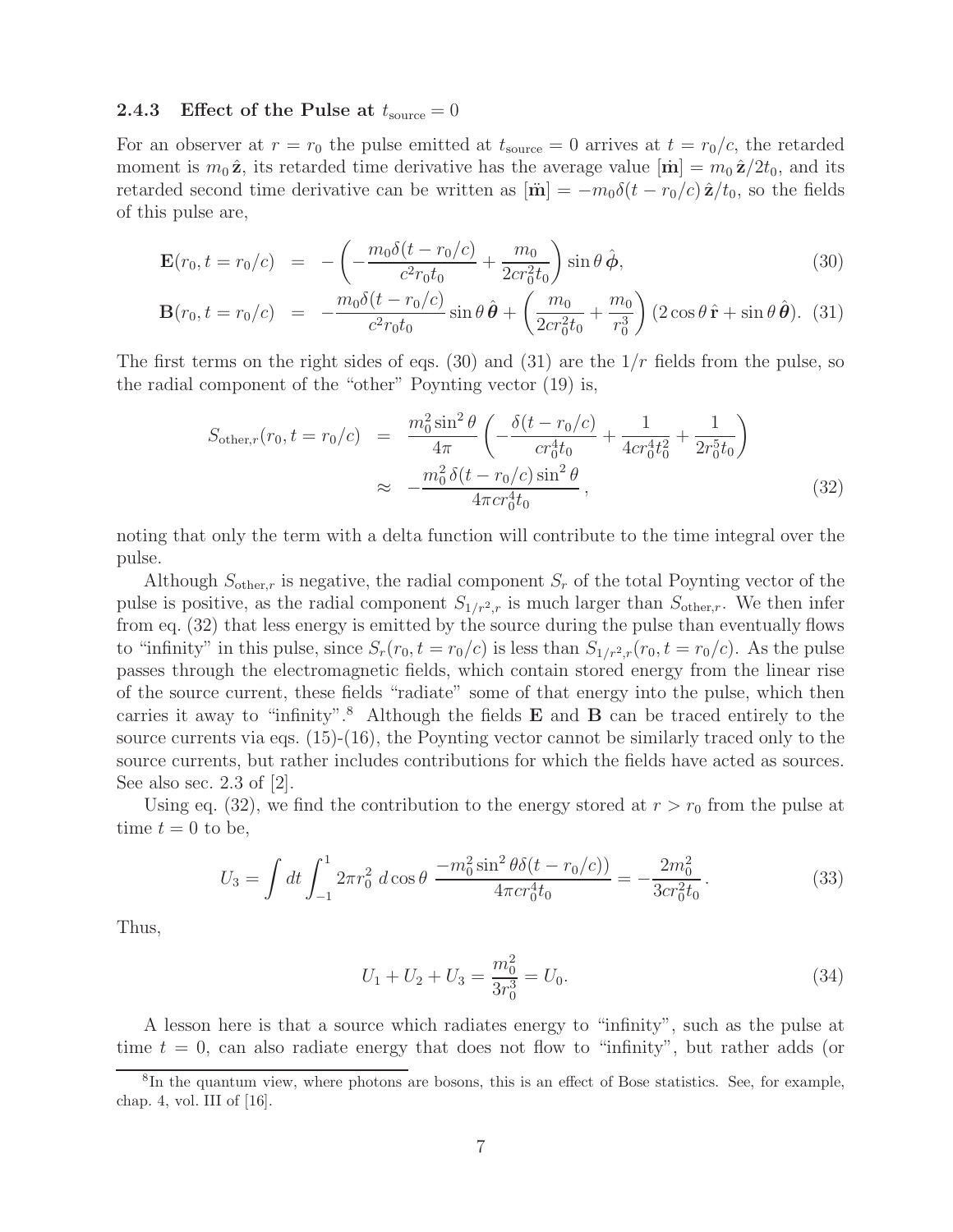#### **2.4.3** Effect of the Pulse at  $t_{\text{source}} = 0$

For an observer at  $r = r_0$  the pulse emitted at  $t_{source} = 0$  arrives at  $t = r_0/c$ , the retarded moment is  $m_0 \hat{\mathbf{z}}$ , its retarded time derivative has the average value  $[\dot{\mathbf{m}}] = m_0 \hat{\mathbf{z}}/2t_0$ , and its retarded second time derivative can be written as  $[\ddot{\mathbf{m}}] = -m_0 \delta(t - r_0/c) \hat{\mathbf{z}}/t_0$ , so the fields of this pulse are,

$$
\mathbf{E}(r_0, t = r_0/c) = -\left(-\frac{m_0 \delta(t - r_0/c)}{c^2 r_0 t_0} + \frac{m_0}{2cr_0^2 t_0}\right) \sin \theta \,\hat{\boldsymbol{\phi}},\tag{30}
$$

$$
\mathbf{B}(r_0, t = r_0/c) = -\frac{m_0 \delta(t - r_0/c)}{c^2 r_0 t_0} \sin \theta \,\hat{\boldsymbol{\theta}} + \left(\frac{m_0}{2cr_0^2 t_0} + \frac{m_0}{r_0^3}\right) (2\cos\theta \,\hat{\mathbf{r}} + \sin\theta \,\hat{\boldsymbol{\theta}}). \tag{31}
$$

The first terms on the right sides of eqs. (30) and (31) are the  $1/r$  fields from the pulse, so the radial component of the "other" Poynting vector (19) is,

$$
S_{\text{other},r}(r_0, t = r_0/c) = \frac{m_0^2 \sin^2 \theta}{4\pi} \left( -\frac{\delta(t - r_0/c)}{cr_0^4 t_0} + \frac{1}{4cr_0^4 t_0^2} + \frac{1}{2r_0^5 t_0} \right)
$$
  

$$
\approx -\frac{m_0^2 \delta(t - r_0/c) \sin^2 \theta}{4\pi cr_0^4 t_0}, \qquad (32)
$$

noting that only the term with a delta function will contribute to the time integral over the pulse.

Although  $S_{other,r}$  is negative, the radial component  $S_r$  of the total Poynting vector of the pulse is positive, as the radial component  $S_{1/r^2,r}$  is much larger than  $S_{other,r}$ . We then infer from eq. (32) that less energy is emitted by the source during the pulse than eventually flows to "infinity" in this pulse, since  $S_r(r_0, t = r_0/c)$  is less than  $S_{1/r^2,r}(r_0, t = r_0/c)$ . As the pulse passes through the electromagnetic fields, which contain stored energy from the linear rise of the source current, these fields "radiate" some of that energy into the pulse, which then carries it away to "infinity".<sup>8</sup> Although the fields **E** and **B** can be traced entirely to the source currents via eqs.  $(15)-(16)$ , the Poynting vector cannot be similarly traced only to the source currents, but rather includes contributions for which the fields have acted as sources. See also sec. 2.3 of  $|2|$ .

Using eq. (32), we find the contribution to the energy stored at  $r>r_0$  from the pulse at time  $t = 0$  to be,

$$
U_3 = \int dt \int_{-1}^1 2\pi r_0^2 \, d\cos\theta \, \frac{-m_0^2 \sin^2\theta \delta(t - r_0/c)}{4\pi c r_0^4 t_0} = -\frac{2m_0^2}{3c r_0^2 t_0} \,. \tag{33}
$$

Thus,

$$
U_1 + U_2 + U_3 = \frac{m_0^2}{3r_0^3} = U_0.
$$
\n(34)

A lesson here is that a source which radiates energy to "infinity", such as the pulse at time  $t = 0$ , can also radiate energy that does not flow to "infinity", but rather adds (or

<sup>8</sup>In the quantum view, where photons are bosons, this is an effect of Bose statistics. See, for example, chap. 4, vol. III of [16].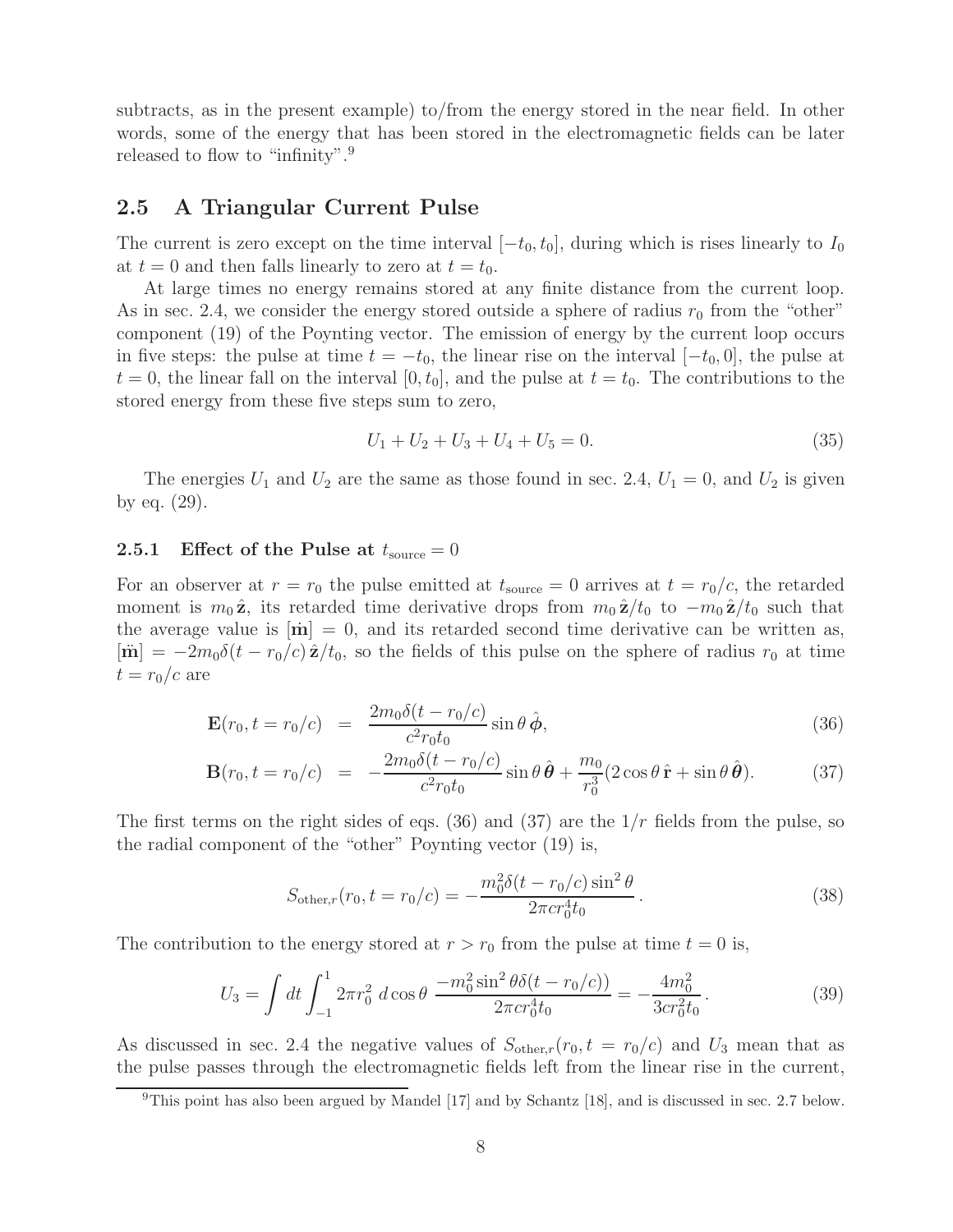subtracts, as in the present example) to/from the energy stored in the near field. In other words, some of the energy that has been stored in the electromagnetic fields can be later released to flow to "infinity".<sup>9</sup>

## **2.5 A Triangular Current Pulse**

The current is zero except on the time interval  $[-t_0, t_0]$ , during which is rises linearly to  $I_0$ at  $t = 0$  and then falls linearly to zero at  $t = t_0$ .

At large times no energy remains stored at any finite distance from the current loop. As in sec. 2.4, we consider the energy stored outside a sphere of radius  $r_0$  from the "other" component (19) of the Poynting vector. The emission of energy by the current loop occurs in five steps: the pulse at time  $t = -t_0$ , the linear rise on the interval  $[-t_0, 0]$ , the pulse at  $t = 0$ , the linear fall on the interval  $[0, t_0]$ , and the pulse at  $t = t_0$ . The contributions to the stored energy from these five steps sum to zero,

$$
U_1 + U_2 + U_3 + U_4 + U_5 = 0.
$$
\n<sup>(35)</sup>

The energies  $U_1$  and  $U_2$  are the same as those found in sec. 2.4,  $U_1 = 0$ , and  $U_2$  is given by eq. (29).

#### **2.5.1** Effect of the Pulse at  $t_{\text{source}} = 0$

For an observer at  $r = r_0$  the pulse emitted at  $t_{source} = 0$  arrives at  $t = r_0/c$ , the retarded moment is  $m_0 \hat{\mathbf{z}}$ , its retarded time derivative drops from  $m_0 \hat{\mathbf{z}}/t_0$  to  $-m_0 \hat{\mathbf{z}}/t_0$  such that the average value is  $[\dot{\mathbf{m}}] = 0$ , and its retarded second time derivative can be written as,  $[\mathbf{\ddot{m}}] = -2m_0\delta(t - r_0/c)\hat{\mathbf{z}}/t_0$ , so the fields of this pulse on the sphere of radius  $r_0$  at time  $t = r_0/c$  are

$$
\mathbf{E}(r_0, t = r_0/c) = \frac{2m_0\delta(t - r_0/c)}{c^2r_0t_0} \sin\theta \,\hat{\boldsymbol{\phi}},\tag{36}
$$

$$
\mathbf{B}(r_0, t = r_0/c) = -\frac{2m_0\delta(t - r_0/c)}{c^2r_0t_0}\sin\theta\,\hat{\boldsymbol{\theta}} + \frac{m_0}{r_0^3}(2\cos\theta\,\hat{\mathbf{r}} + \sin\theta\,\hat{\boldsymbol{\theta}}). \tag{37}
$$

The first terms on the right sides of eqs. (36) and (37) are the  $1/r$  fields from the pulse, so the radial component of the "other" Poynting vector (19) is,

$$
S_{\text{other},r}(r_0, t = r_0/c) = -\frac{m_0^2 \delta(t - r_0/c) \sin^2 \theta}{2\pi c r_0^4 t_0}.
$$
\n(38)

The contribution to the energy stored at  $r>r_0$  from the pulse at time  $t = 0$  is,

$$
U_3 = \int dt \int_{-1}^1 2\pi r_0^2 \, d\cos\theta \, \frac{-m_0^2 \sin^2\theta \delta(t - r_0/c)}{2\pi c r_0^4 t_0} = -\frac{4m_0^2}{3c r_0^2 t_0} \,. \tag{39}
$$

As discussed in sec. 2.4 the negative values of  $S_{other,r}(r_0, t = r_0/c)$  and  $U_3$  mean that as the pulse passes through the electromagnetic fields left from the linear rise in the current,

 $9$ This point has also been argued by Mandel [17] and by Schantz [18], and is discussed in sec. 2.7 below.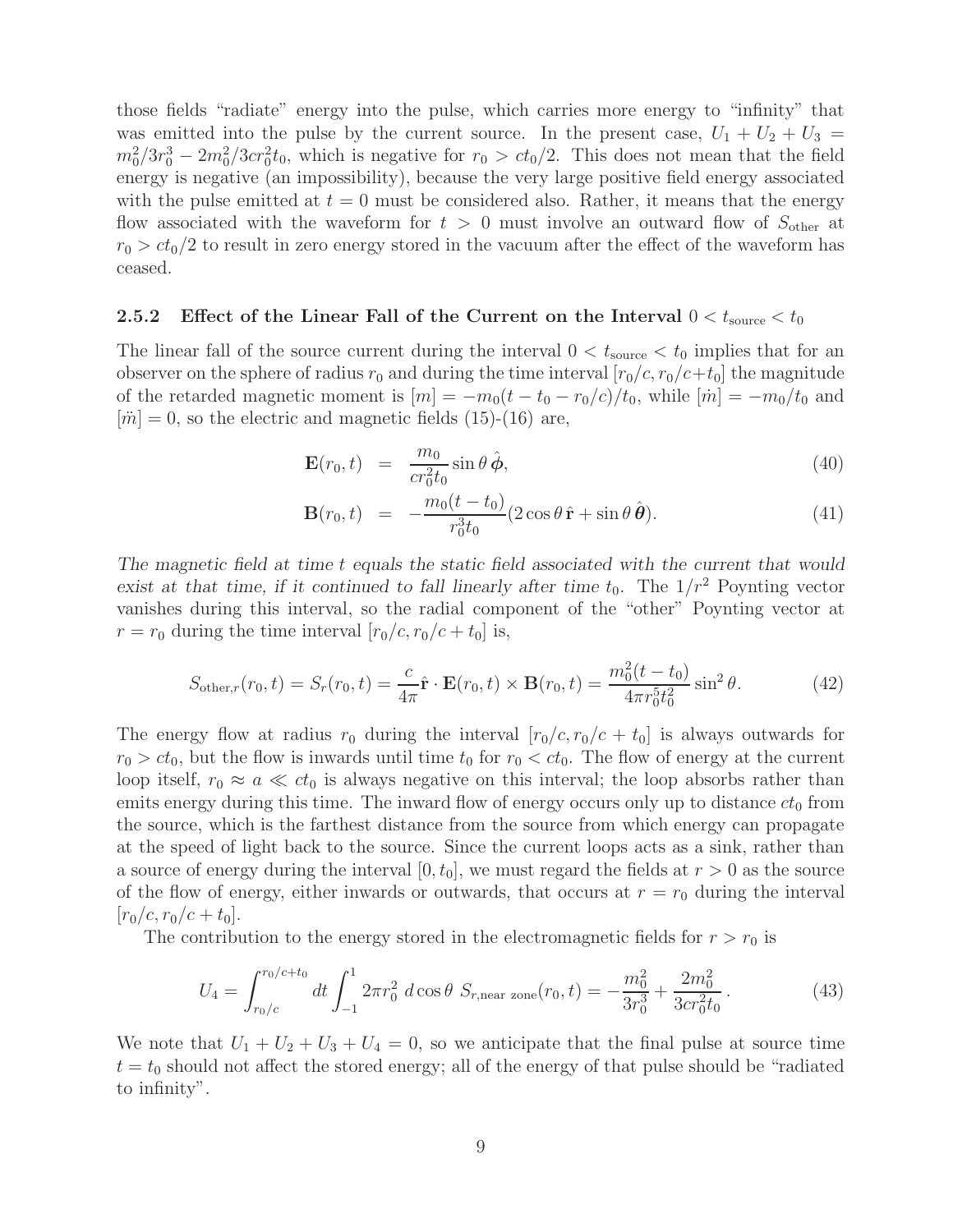those fields "radiate" energy into the pulse, which carries more energy to "infinity" that was emitted into the pulse by the current source. In the present case,  $U_1 + U_2 + U_3 =$  $m_0^2/3r_0^3 - 2m_0^2/3cr_0^2t_0$ , which is negative for  $r_0 > ct_0/2$ . This does not mean that the field energy is negative (an impossibility), because the very large positive field energy associated with the pulse emitted at  $t = 0$  must be considered also. Rather, it means that the energy flow associated with the waveform for  $t > 0$  must involve an outward flow of  $S_{other}$  at  $r_0 > ct_0/2$  to result in zero energy stored in the vacuum after the effect of the waveform has ceased.

### **2.5.2** Effect of the Linear Fall of the Current on the Interval  $0 < t_{\text{source}} < t_0$

The linear fall of the source current during the interval  $0 < t_{source} < t_0$  implies that for an observer on the sphere of radius  $r_0$  and during the time interval  $[r_0/c, r_0/c+t_0]$  the magnitude of the retarded magnetic moment is  $[m] = -m_0(t - t_0 - r_0/c)/t_0$ , while  $[\dot{m}] = -m_0/t_0$  and  $|\ddot{m}| = 0$ , so the electric and magnetic fields (15)-(16) are,

$$
\mathbf{E}(r_0, t) = \frac{m_0}{cr_0^2 t_0} \sin \theta \,\hat{\boldsymbol{\phi}}, \tag{40}
$$

$$
\mathbf{B}(r_0, t) = -\frac{m_0(t - t_0)}{r_0^3 t_0} (2\cos\theta \,\hat{\mathbf{r}} + \sin\theta \,\hat{\boldsymbol{\theta}}). \tag{41}
$$

*The magnetic field at time* t *equals the static field associated with the current that would exist at that time, if it continued to fall linearly after time*  $t_0$ . The  $1/r^2$  Poynting vector vanishes during this interval, so the radial component of the "other" Poynting vector at  $r = r_0$  during the time interval  $[r_0/c, r_0/c + t_0]$  is,

$$
S_{\text{other},r}(r_0, t) = S_r(r_0, t) = \frac{c}{4\pi} \hat{\mathbf{r}} \cdot \mathbf{E}(r_0, t) \times \mathbf{B}(r_0, t) = \frac{m_0^2(t - t_0)}{4\pi r_0^5 t_0^2} \sin^2 \theta.
$$
 (42)

The energy flow at radius  $r_0$  during the interval  $[r_0/c, r_0/c + t_0]$  is always outwards for  $r_0 > ct_0$ , but the flow is inwards until time  $t_0$  for  $r_0 < ct_0$ . The flow of energy at the current loop itself,  $r_0 \approx a \ll ct_0$  is always negative on this interval; the loop absorbs rather than emits energy during this time. The inward flow of energy occurs only up to distance  $ct_0$  from the source, which is the farthest distance from the source from which energy can propagate at the speed of light back to the source. Since the current loops acts as a sink, rather than a source of energy during the interval  $[0, t_0]$ , we must regard the fields at  $r > 0$  as the source of the flow of energy, either inwards or outwards, that occurs at  $r = r_0$  during the interval  $|r_0/c, r_0/c + t_0|.$ 

The contribution to the energy stored in the electromagnetic fields for  $r>r_0$  is

$$
U_4 = \int_{r_0/c}^{r_0/c + t_0} dt \int_{-1}^1 2\pi r_0^2 \ d\cos\theta \ S_{r, \text{near zone}}(r_0, t) = -\frac{m_0^2}{3r_0^3} + \frac{2m_0^2}{3cr_0^2 t_0} \,. \tag{43}
$$

We note that  $U_1 + U_2 + U_3 + U_4 = 0$ , so we anticipate that the final pulse at source time  $t = t_0$  should not affect the stored energy; all of the energy of that pulse should be "radiated" to infinity".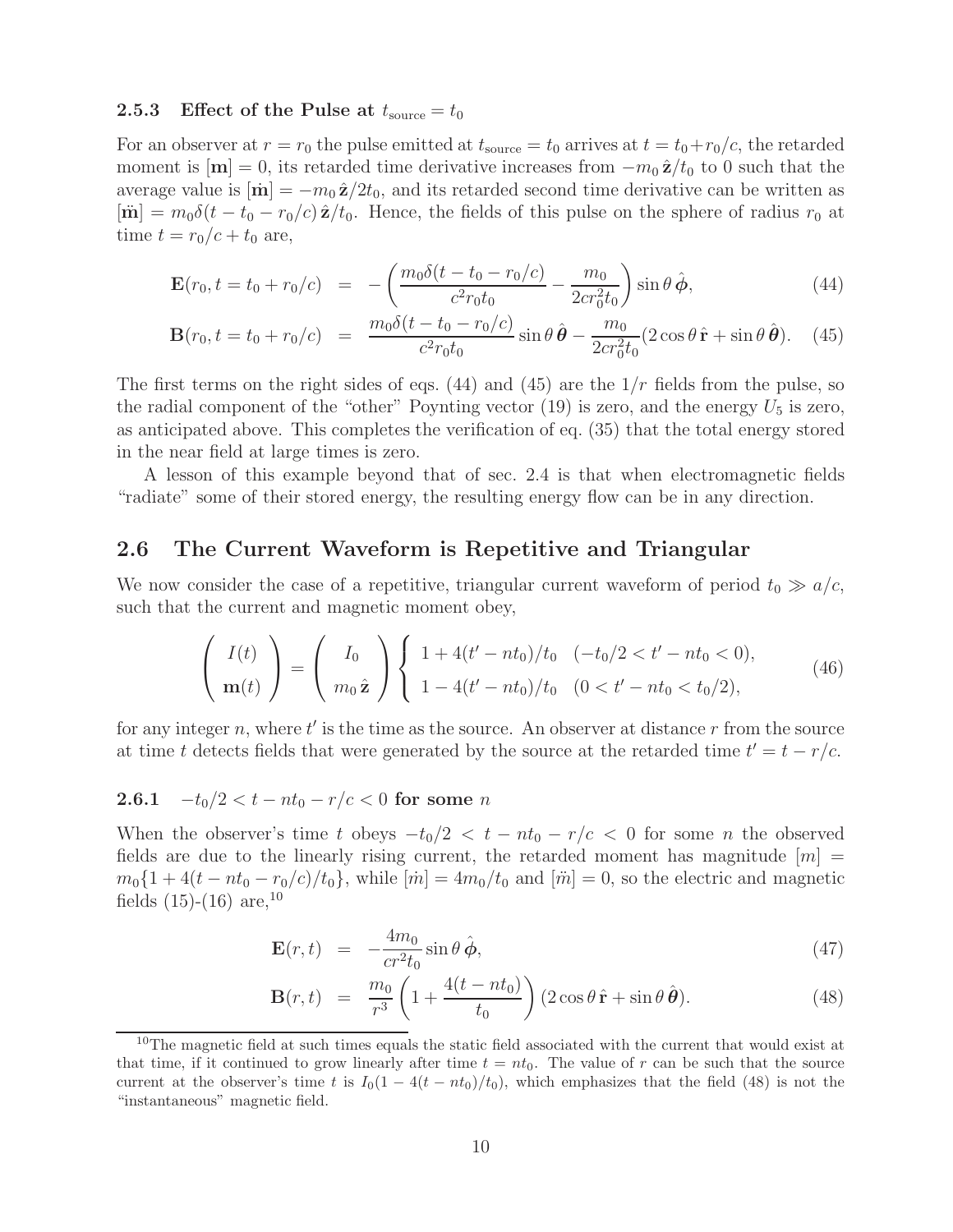#### **2.5.3** Effect of the Pulse at  $t_{\text{source}} = t_0$

For an observer at  $r = r_0$  the pulse emitted at  $t_{source} = t_0$  arrives at  $t = t_0 + r_0/c$ , the retarded moment is  $[\mathbf{m}] = 0$ , its retarded time derivative increases from  $-m_0 \hat{\mathbf{z}}/t_0$  to 0 such that the average value is  $|\mathbf{m}| = -m_0 \hat{\mathbf{z}}/2t_0$ , and its retarded second time derivative can be written as  $[\mathbf{\dot{m}}] = m_0 \delta(t - t_0 - r_0/c) \hat{\mathbf{z}}/t_0$ . Hence, the fields of this pulse on the sphere of radius  $r_0$  at time  $t = r_0/c + t_0$  are,

$$
\mathbf{E}(r_0, t = t_0 + r_0/c) = -\left(\frac{m_0 \delta(t - t_0 - r_0/c)}{c^2 r_0 t_0} - \frac{m_0}{2 c r_0^2 t_0}\right) \sin \theta \,\hat{\boldsymbol{\phi}},\tag{44}
$$

$$
\mathbf{B}(r_0, t = t_0 + r_0/c) = \frac{m_0 \delta(t - t_0 - r_0/c)}{c^2 r_0 t_0} \sin \theta \,\hat{\boldsymbol{\theta}} - \frac{m_0}{2 c r_0^2 t_0} (2 \cos \theta \,\hat{\mathbf{r}} + \sin \theta \,\hat{\boldsymbol{\theta}}). \tag{45}
$$

The first terms on the right sides of eqs.  $(44)$  and  $(45)$  are the  $1/r$  fields from the pulse, so the radial component of the "other" Poynting vector (19) is zero, and the energy  $U_5$  is zero, as anticipated above. This completes the verification of eq. (35) that the total energy stored in the near field at large times is zero.

A lesson of this example beyond that of sec. 2.4 is that when electromagnetic fields "radiate" some of their stored energy, the resulting energy flow can be in any direction.

## **2.6 The Current Waveform is Repetitive and Triangular**

We now consider the case of a repetitive, triangular current waveform of period  $t_0 \gg a/c$ , such that the current and magnetic moment obey,

$$
\begin{pmatrix} I(t) \\ \mathbf{m}(t) \end{pmatrix} = \begin{pmatrix} I_0 \\ m_0 \hat{\mathbf{z}} \end{pmatrix} \begin{cases} 1 + 4(t' - nt_0)/t_0 & (-t_0/2 < t' - nt_0 < 0), \\ 1 - 4(t' - nt_0)/t_0 & (0 < t' - nt_0 < t_0/2), \end{cases} \tag{46}
$$

for any integer n, where  $t'$  is the time as the source. An observer at distance r from the source at time t detects fields that were generated by the source at the retarded time  $t' = t - r/c$ .

## **2.6.1**  $-t_0/2 < t - nt_0 - r/c < 0$  for some *n*

When the observer's time t obeys  $-t_0/2 < t - nt_0 - r/c < 0$  for some n the observed fields are due to the linearly rising current, the retarded moment has magnitude  $[m] =$  $m_0\{1+4(t-nt_0-r_0/c)/t_0\}$ , while  $[\dot{m}]=4m_0/t_0$  and  $[\ddot{m}]=0$ , so the electric and magnetic fields  $(15)-(16)$  are,<sup>10</sup>

$$
\mathbf{E}(r,t) = -\frac{4m_0}{cr^2t_0}\sin\theta\,\hat{\boldsymbol{\phi}},\tag{47}
$$

$$
\mathbf{B}(r,t) = \frac{m_0}{r^3} \left( 1 + \frac{4(t - nt_0)}{t_0} \right) (2 \cos \theta \, \hat{\mathbf{r}} + \sin \theta \, \hat{\boldsymbol{\theta}}). \tag{48}
$$

 $10$ The magnetic field at such times equals the static field associated with the current that would exist at that time, if it continued to grow linearly after time  $t = nt_0$ . The value of r can be such that the source current at the observer's time *t* is  $I_0(1 - 4(t - nt_0)/t_0)$ , which emphasizes that the field (48) is not the "instantaneous" magnetic field.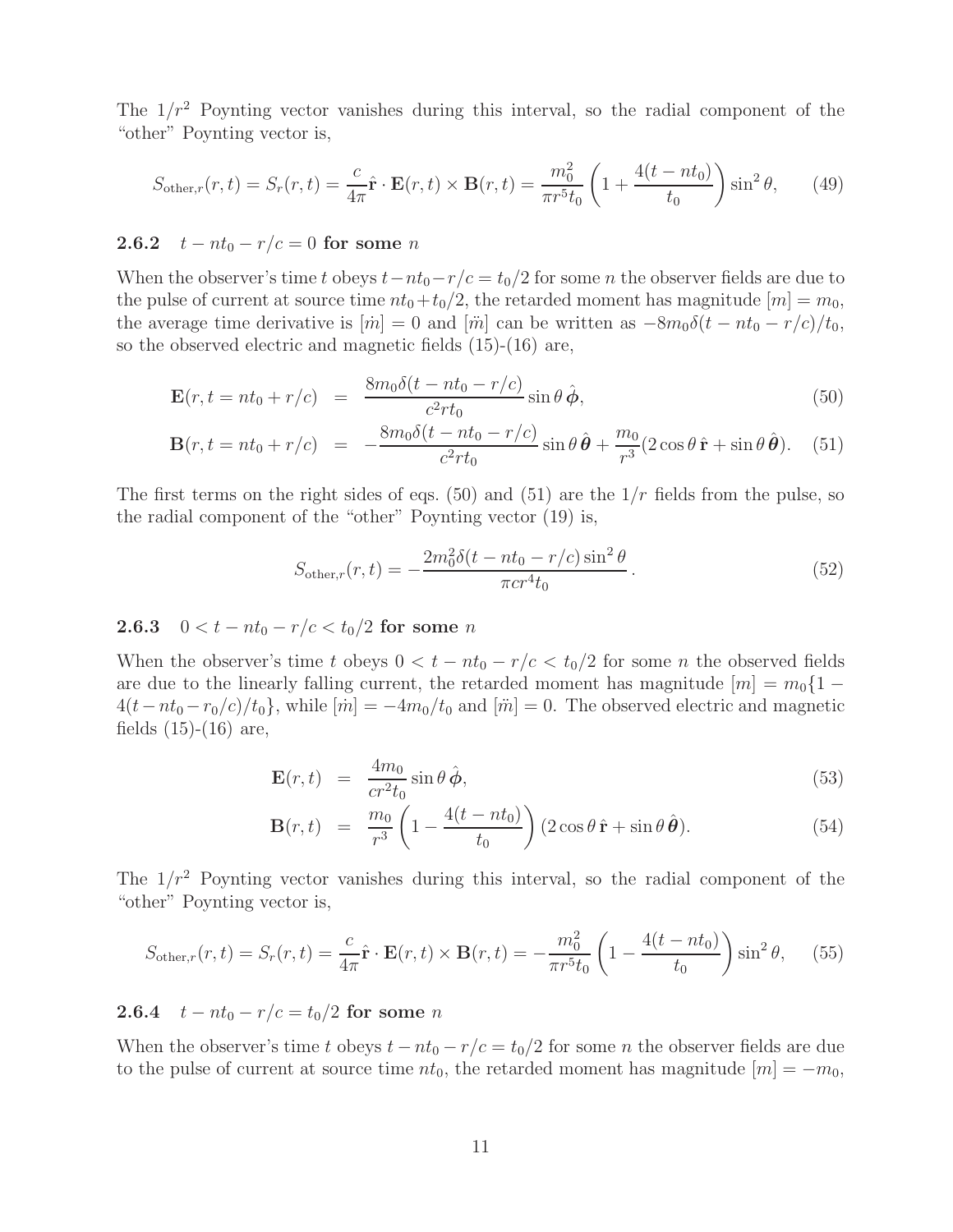The  $1/r^2$  Poynting vector vanishes during this interval, so the radial component of the "other" Poynting vector is,

$$
S_{\text{other},r}(r,t) = S_r(r,t) = \frac{c}{4\pi}\hat{\mathbf{r}} \cdot \mathbf{E}(r,t) \times \mathbf{B}(r,t) = \frac{m_0^2}{\pi r^5 t_0} \left(1 + \frac{4(t - nt_0)}{t_0}\right) \sin^2 \theta, \qquad (49)
$$

## **2.6.2**  $t - nt_0 - r/c = 0$  for some *n*

When the observer's time t obeys  $t-nt_0-r/c = t_0/2$  for some n the observer fields are due to the pulse of current at source time  $nt_0+t_0/2$ , the retarded moment has magnitude  $[m]=m_0$ , the average time derivative is  $[\dot{m}] = 0$  and  $[\ddot{m}]$  can be written as  $-8m_0\delta(t - nt_0 - r/c)/t_0$ , so the observed electric and magnetic fields (15)-(16) are,

$$
\mathbf{E}(r, t = nt_0 + r/c) = \frac{8m_0\delta(t - nt_0 - r/c)}{c^2rt_0}\sin\theta\,\hat{\boldsymbol{\phi}},\tag{50}
$$

$$
\mathbf{B}(r,t=nt_0+r/c) = -\frac{8m_0\delta(t-nt_0-r/c)}{c^2rt_0}\sin\theta\,\hat{\boldsymbol{\theta}} + \frac{m_0}{r^3}(2\cos\theta\,\hat{\mathbf{r}} + \sin\theta\,\hat{\boldsymbol{\theta}}). \tag{51}
$$

The first terms on the right sides of eqs. (50) and (51) are the  $1/r$  fields from the pulse, so the radial component of the "other" Poynting vector (19) is,

$$
S_{\text{other},r}(r,t) = -\frac{2m_0^2 \delta(t - nt_0 - r/c)\sin^2\theta}{\pi c r^4 t_0}.
$$
\n(52)

## **2.6.3**  $0 < t - nt_0 - r/c < t_0/2$  for some *n*

When the observer's time t obeys  $0 < t - nt_0 - r/c < t_0/2$  for some n the observed fields are due to the linearly falling current, the retarded moment has magnitude  $[m] = m_0 \{1 4(t-nt_0-r_0/c)/t_0$ , while  $[\dot{m}]=-4m_0/t_0$  and  $[\ddot{m}]=0$ . The observed electric and magnetic fields  $(15)-(16)$  are,

$$
\mathbf{E}(r,t) = \frac{4m_0}{cr^2t_0} \sin \theta \,\hat{\boldsymbol{\phi}},\tag{53}
$$

$$
\mathbf{B}(r,t) = \frac{m_0}{r^3} \left( 1 - \frac{4(t - nt_0)}{t_0} \right) (2\cos\theta \,\hat{\mathbf{r}} + \sin\theta \,\hat{\boldsymbol{\theta}}). \tag{54}
$$

The  $1/r^2$  Poynting vector vanishes during this interval, so the radial component of the "other" Poynting vector is,

$$
S_{\text{other},r}(r,t) = S_r(r,t) = \frac{c}{4\pi}\hat{\mathbf{r}} \cdot \mathbf{E}(r,t) \times \mathbf{B}(r,t) = -\frac{m_0^2}{\pi r^5 t_0} \left(1 - \frac{4(t - nt_0)}{t_0}\right) \sin^2 \theta, \quad (55)
$$

## **2.6.4**  $t - nt_0 - r/c = t_0/2$  for some n

When the observer's time t obeys  $t - nt_0 - r/c = t_0/2$  for some n the observer fields are due to the pulse of current at source time  $nt_0$ , the retarded moment has magnitude  $[m] = -m_0$ ,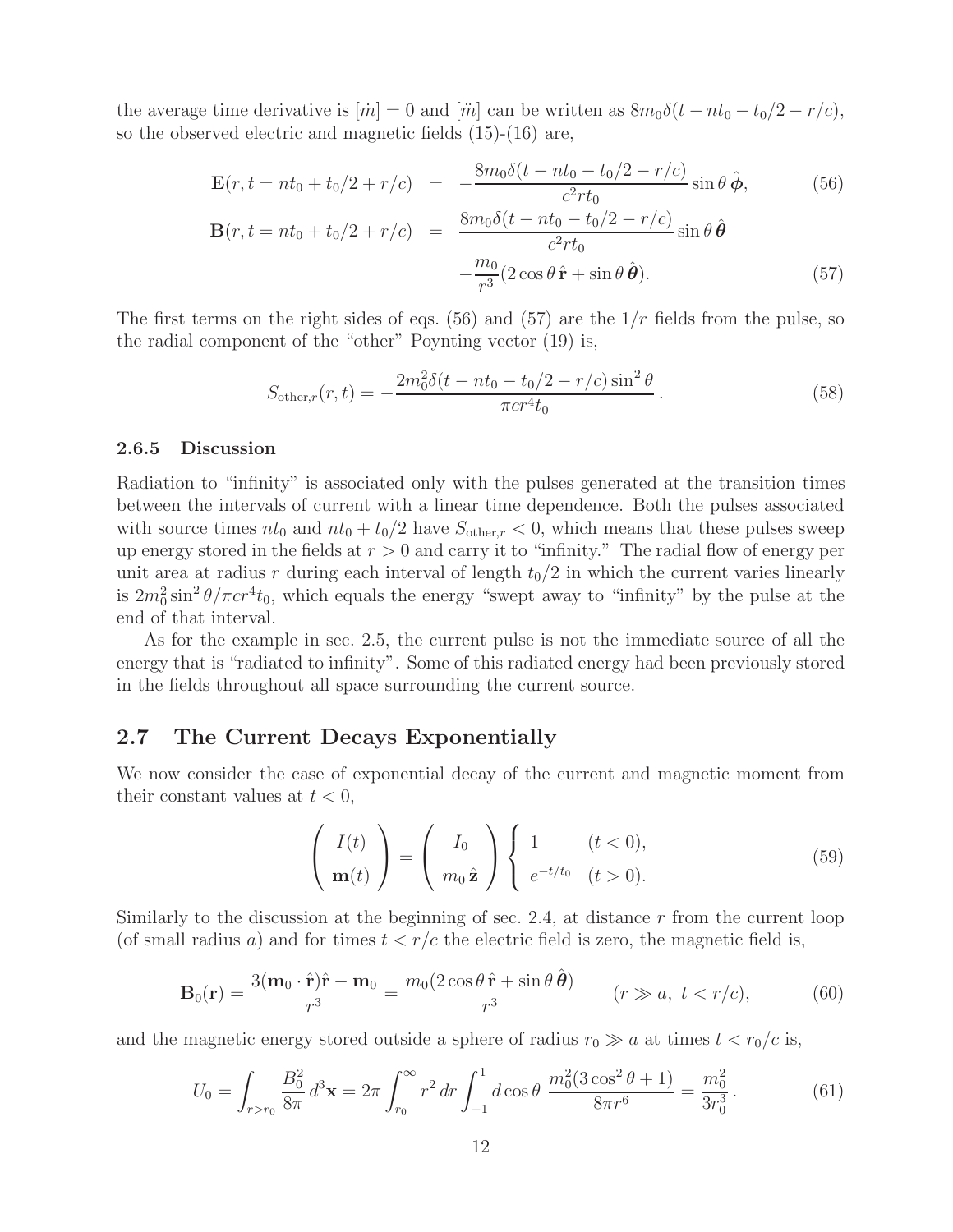the average time derivative is  $[\dot{m}] = 0$  and  $[\ddot{m}]$  can be written as  $8m_0\delta(t - nt_0 - t_0/2 - r/c)$ , so the observed electric and magnetic fields (15)-(16) are,

$$
\mathbf{E}(r, t = nt_0 + t_0/2 + r/c) = -\frac{8m_0\delta(t - nt_0 - t_0/2 - r/c)}{c^2rt_0}\sin\theta\,\hat{\boldsymbol{\phi}},\tag{56}
$$

$$
\mathbf{B}(r, t = nt_0 + t_0/2 + r/c) = \frac{8m_0\delta(t - nt_0 - t_0/2 - r/c)}{c^2rt_0}\sin\theta \,\hat{\boldsymbol{\theta}}-\frac{m_0}{r^3}(2\cos\theta \,\hat{\mathbf{r}} + \sin\theta \,\hat{\boldsymbol{\theta}}). \tag{57}
$$

The first terms on the right sides of eqs. (56) and (57) are the  $1/r$  fields from the pulse, so the radial component of the "other" Poynting vector (19) is,

$$
S_{\text{other},r}(r,t) = -\frac{2m_0^2 \delta(t - nt_0 - t_0/2 - r/c)\sin^2\theta}{\pi cr^4 t_0}.
$$
\n(58)

#### **2.6.5 Discussion**

Radiation to "infinity" is associated only with the pulses generated at the transition times between the intervals of current with a linear time dependence. Both the pulses associated with source times  $nt_0$  and  $nt_0 + t_0/2$  have  $S_{other,r} < 0$ , which means that these pulses sweep up energy stored in the fields at  $r > 0$  and carry it to "infinity." The radial flow of energy per unit area at radius r during each interval of length  $t_0/2$  in which the current varies linearly is  $2m_0^2 \sin^2 \theta / \pi c r^4 t_0$ , which equals the energy "swept away to "infinity" by the pulse at the end of that interval.

As for the example in sec. 2.5, the current pulse is not the immediate source of all the energy that is "radiated to infinity". Some of this radiated energy had been previously stored in the fields throughout all space surrounding the current source.

## **2.7 The Current Decays Exponentially**

We now consider the case of exponential decay of the current and magnetic moment from their constant values at  $t < 0$ ,

$$
\begin{pmatrix} I(t) \\ \mathbf{m}(t) \end{pmatrix} = \begin{pmatrix} I_0 \\ m_0 \hat{\mathbf{z}} \end{pmatrix} \begin{cases} 1 & (t < 0), \\ e^{-t/t_0} & (t > 0). \end{cases} \tag{59}
$$

Similarly to the discussion at the beginning of sec. 2.4, at distance  $r$  from the current loop (of small radius a) and for times  $t < r/c$  the electric field is zero, the magnetic field is,

$$
\mathbf{B}_0(\mathbf{r}) = \frac{3(\mathbf{m}_0 \cdot \hat{\mathbf{r}})\hat{\mathbf{r}} - \mathbf{m}_0}{r^3} = \frac{m_0(2\cos\theta\,\hat{\mathbf{r}} + \sin\theta\,\hat{\boldsymbol{\theta}})}{r^3} \qquad (r \gg a, \ t < r/c), \tag{60}
$$

and the magnetic energy stored outside a sphere of radius  $r_0 \gg a$  at times  $t < r_0/c$  is,

$$
U_0 = \int_{r>r_0} \frac{B_0^2}{8\pi} d^3 \mathbf{x} = 2\pi \int_{r_0}^{\infty} r^2 dr \int_{-1}^1 d\cos\theta \, \frac{m_0^2 (3\cos^2\theta + 1)}{8\pi r^6} = \frac{m_0^2}{3r_0^3}.
$$
 (61)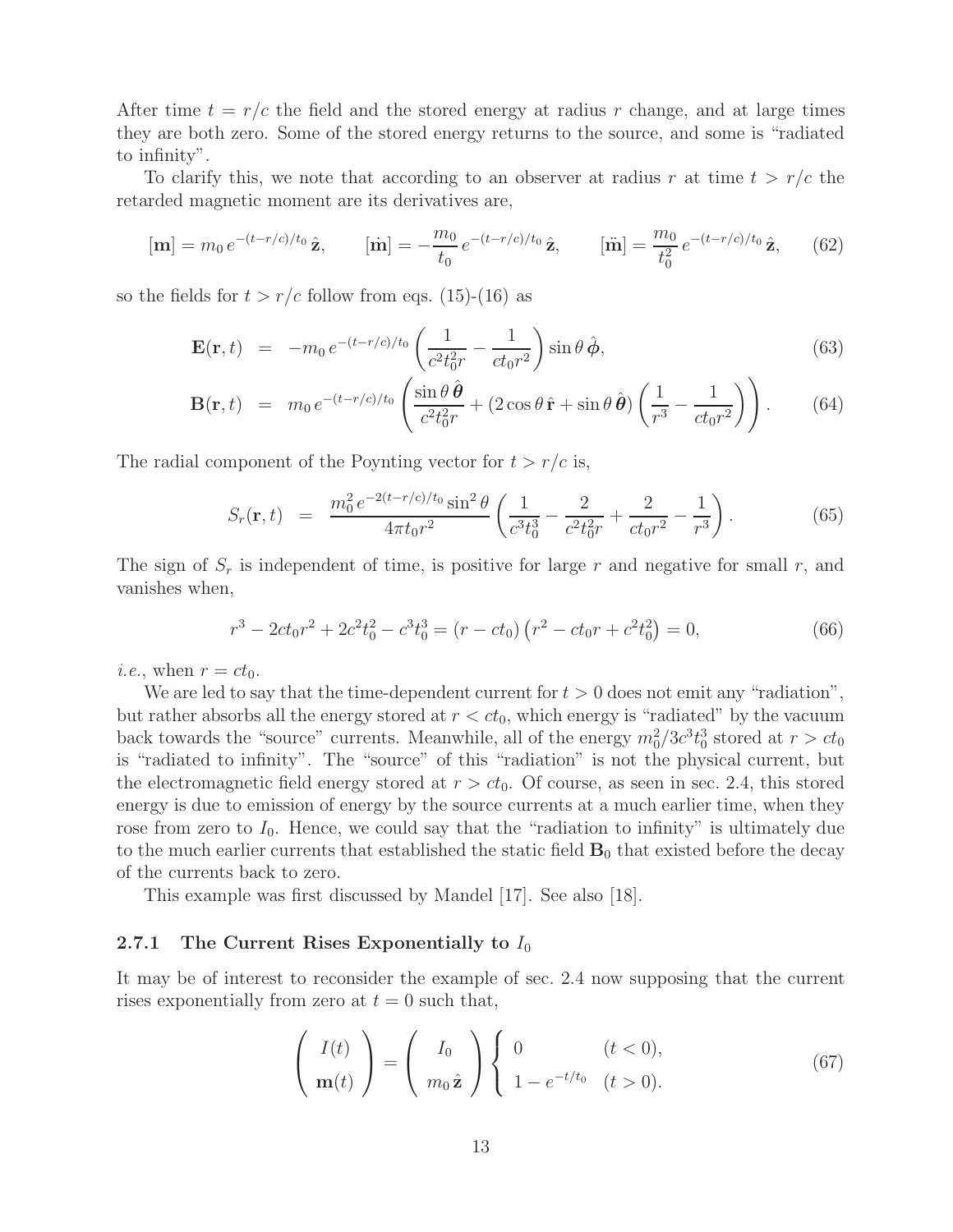After time  $t = r/c$  the field and the stored energy at radius r change, and at large times they are both zero. Some of the stored energy returns to the source, and some is "radiated to infinity".

To clarify this, we note that according to an observer at radius r at time  $t > r/c$  the retarded magnetic moment are its derivatives are,

$$
[\mathbf{m}] = m_0 e^{-(t-r/c)/t_0} \hat{\mathbf{z}}, \qquad [\dot{\mathbf{m}}] = -\frac{m_0}{t_0} e^{-(t-r/c)/t_0} \hat{\mathbf{z}}, \qquad [\ddot{\mathbf{m}}] = \frac{m_0}{t_0^2} e^{-(t-r/c)/t_0} \hat{\mathbf{z}}, \qquad (62)
$$

so the fields for  $t > r/c$  follow from eqs. (15)-(16) as

$$
\mathbf{E}(\mathbf{r},t) = -m_0 e^{-(t-r/c)/t_0} \left( \frac{1}{c^2 t_0^2 r} - \frac{1}{ct_0 r^2} \right) \sin \theta \, \hat{\boldsymbol{\phi}},\tag{63}
$$

$$
\mathbf{B}(\mathbf{r},t) = m_0 e^{-(t-r/c)/t_0} \left( \frac{\sin \theta \,\hat{\boldsymbol{\theta}}}{c^2 t_0^2 r} + (2\cos \theta \,\hat{\mathbf{r}} + \sin \theta \,\hat{\boldsymbol{\theta}}) \left( \frac{1}{r^3} - \frac{1}{ct_0 r^2} \right) \right). \tag{64}
$$

The radial component of the Poynting vector for  $t > r/c$  is,

$$
S_r(\mathbf{r},t) = \frac{m_0^2 e^{-2(t-r/c)/t_0} \sin^2 \theta}{4\pi t_0 r^2} \left( \frac{1}{c^3 t_0^3} - \frac{2}{c^2 t_0^2 r} + \frac{2}{ct_0 r^2} - \frac{1}{r^3} \right).
$$
 (65)

The sign of  $S_r$  is independent of time, is positive for large r and negative for small r, and vanishes when,

$$
r^{3} - 2ct_{0}r^{2} + 2c^{2}t_{0}^{2} - c^{3}t_{0}^{3} = (r - ct_{0})(r^{2} - ct_{0}r + c^{2}t_{0}^{2}) = 0,
$$
\n(66)

*i.e.*, when  $r = ct_0$ .

We are led to say that the time-dependent current for  $t > 0$  does not emit any "radiation", but rather absorbs all the energy stored at  $r < ct_0$ , which energy is "radiated" by the vacuum back towards the "source" currents. Meanwhile, all of the energy  $m_0^2/3c^3t_0^3$  stored at  $r > ct_0$ is "radiated to infinity". The "source" of this "radiation" is not the physical current, but the electromagnetic field energy stored at  $r > ct_0$ . Of course, as seen in sec. 2.4, this stored energy is due to emission of energy by the source currents at a much earlier time, when they rose from zero to  $I_0$ . Hence, we could say that the "radiation to infinity" is ultimately due to the much earlier currents that established the static field  $\mathbf{B}_0$  that existed before the decay of the currents back to zero.

This example was first discussed by Mandel [17]. See also [18].

#### **2.7.1 The Current Rises Exponentially to**  $I_0$

It may be of interest to reconsider the example of sec. 2.4 now supposing that the current rises exponentially from zero at  $t = 0$  such that,

$$
\begin{pmatrix} I(t) \\ \mathbf{m}(t) \end{pmatrix} = \begin{pmatrix} I_0 \\ m_0 \hat{\mathbf{z}} \end{pmatrix} \begin{cases} 0 & (t < 0), \\ 1 - e^{-t/t_0} & (t > 0). \end{cases} \tag{67}
$$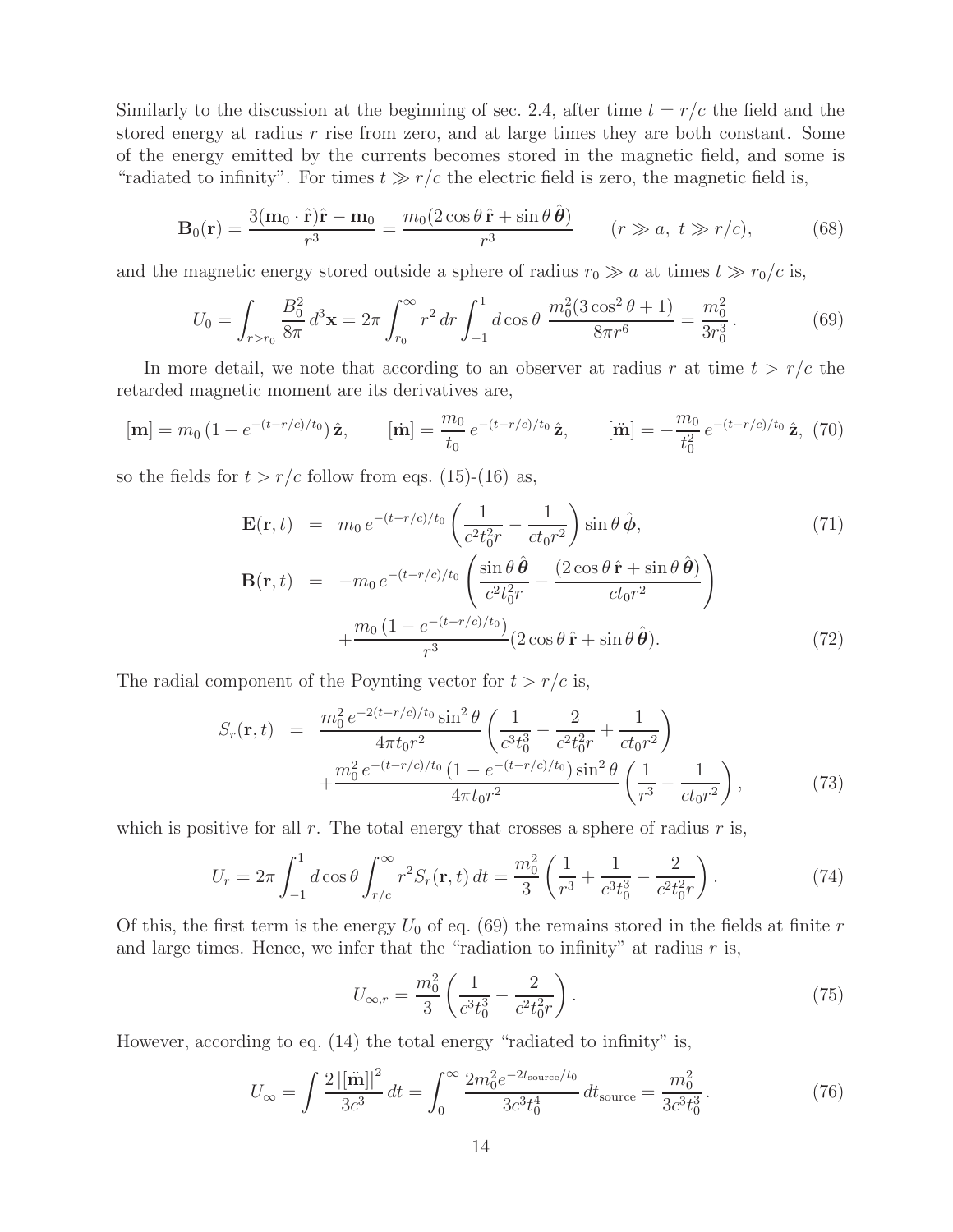Similarly to the discussion at the beginning of sec. 2.4, after time  $t = r/c$  the field and the stored energy at radius  $r$  rise from zero, and at large times they are both constant. Some of the energy emitted by the currents becomes stored in the magnetic field, and some is "radiated to infinity". For times  $t \gg r/c$  the electric field is zero, the magnetic field is,

$$
\mathbf{B}_0(\mathbf{r}) = \frac{3(\mathbf{m}_0 \cdot \hat{\mathbf{r}})\hat{\mathbf{r}} - \mathbf{m}_0}{r^3} = \frac{m_0(2\cos\theta\,\hat{\mathbf{r}} + \sin\theta\,\hat{\boldsymbol{\theta}})}{r^3} \qquad (r \gg a, \ t \gg r/c),\tag{68}
$$

and the magnetic energy stored outside a sphere of radius  $r_0 \gg a$  at times  $t \gg r_0/c$  is,

$$
U_0 = \int_{r>r_0} \frac{B_0^2}{8\pi} d^3 \mathbf{x} = 2\pi \int_{r_0}^{\infty} r^2 dr \int_{-1}^1 d\cos\theta \, \frac{m_0^2 (3\cos^2\theta + 1)}{8\pi r^6} = \frac{m_0^2}{3r_0^3}.
$$
 (69)

In more detail, we note that according to an observer at radius r at time  $t > r/c$  the retarded magnetic moment are its derivatives are,

$$
[\mathbf{m}] = m_0 \left( 1 - e^{-(t - r/c)/t_0} \right) \hat{\mathbf{z}}, \qquad [\dot{\mathbf{m}}] = \frac{m_0}{t_0} e^{-(t - r/c)/t_0} \hat{\mathbf{z}}, \qquad [\ddot{\mathbf{m}}] = -\frac{m_0}{t_0^2} e^{-(t - r/c)/t_0} \hat{\mathbf{z}}, \tag{70}
$$

so the fields for  $t > r/c$  follow from eqs. (15)-(16) as,

$$
\mathbf{E}(\mathbf{r},t) = m_0 e^{-(t-r/c)/t_0} \left( \frac{1}{c^2 t_0^2 r} - \frac{1}{ct_0 r^2} \right) \sin \theta \, \hat{\boldsymbol{\phi}},\tag{71}
$$
\n
$$
\mathbf{B}(\mathbf{r},t) = -m_0 e^{-(t-r/c)/t_0} \left( \frac{\sin \theta \, \hat{\boldsymbol{\theta}}}{c^2 t_0^2 r} - \frac{(2 \cos \theta \, \hat{\mathbf{r}} + \sin \theta \, \hat{\boldsymbol{\theta}})}{ct_0 r^2} \right)
$$
\n
$$
+ \frac{m_0 \left( 1 - e^{-(t-r/c)/t_0} \right)}{r^3} (2 \cos \theta \, \hat{\mathbf{r}} + \sin \theta \, \hat{\boldsymbol{\theta}}).
$$
\n(72)

The radial component of the Poynting vector for  $t > r/c$  is,

$$
S_r(\mathbf{r},t) = \frac{m_0^2 e^{-2(t-r/c)/t_0} \sin^2 \theta}{4\pi t_0 r^2} \left( \frac{1}{c^3 t_0^3} - \frac{2}{c^2 t_0^2 r} + \frac{1}{c t_0 r^2} \right) + \frac{m_0^2 e^{-(t-r/c)/t_0} (1 - e^{-(t-r/c)/t_0}) \sin^2 \theta}{4\pi t_0 r^2} \left( \frac{1}{r^3} - \frac{1}{c t_0 r^2} \right),
$$
(73)

which is positive for all r. The total energy that crosses a sphere of radius r is,

$$
U_r = 2\pi \int_{-1}^{1} d\cos\theta \int_{r/c}^{\infty} r^2 S_r(\mathbf{r}, t) dt = \frac{m_0^2}{3} \left( \frac{1}{r^3} + \frac{1}{c^3 t_0^3} - \frac{2}{c^2 t_0^2 r} \right).
$$
 (74)

Of this, the first term is the energy  $U_0$  of eq. (69) the remains stored in the fields at finite r and large times. Hence, we infer that the "radiation to infinity" at radius  $r$  is,

$$
U_{\infty,r} = \frac{m_0^2}{3} \left( \frac{1}{c^3 t_0^3} - \frac{2}{c^2 t_0^2 r} \right). \tag{75}
$$

However, according to eq. (14) the total energy "radiated to infinity" is,

$$
U_{\infty} = \int \frac{2\left|[\ddot{\mathbf{m}}]\right|^2}{3c^3} dt = \int_0^{\infty} \frac{2m_0^2 e^{-2t_{\text{source}}/t_0}}{3c^3 t_0^4} dt_{\text{source}} = \frac{m_0^2}{3c^3 t_0^3}.
$$
 (76)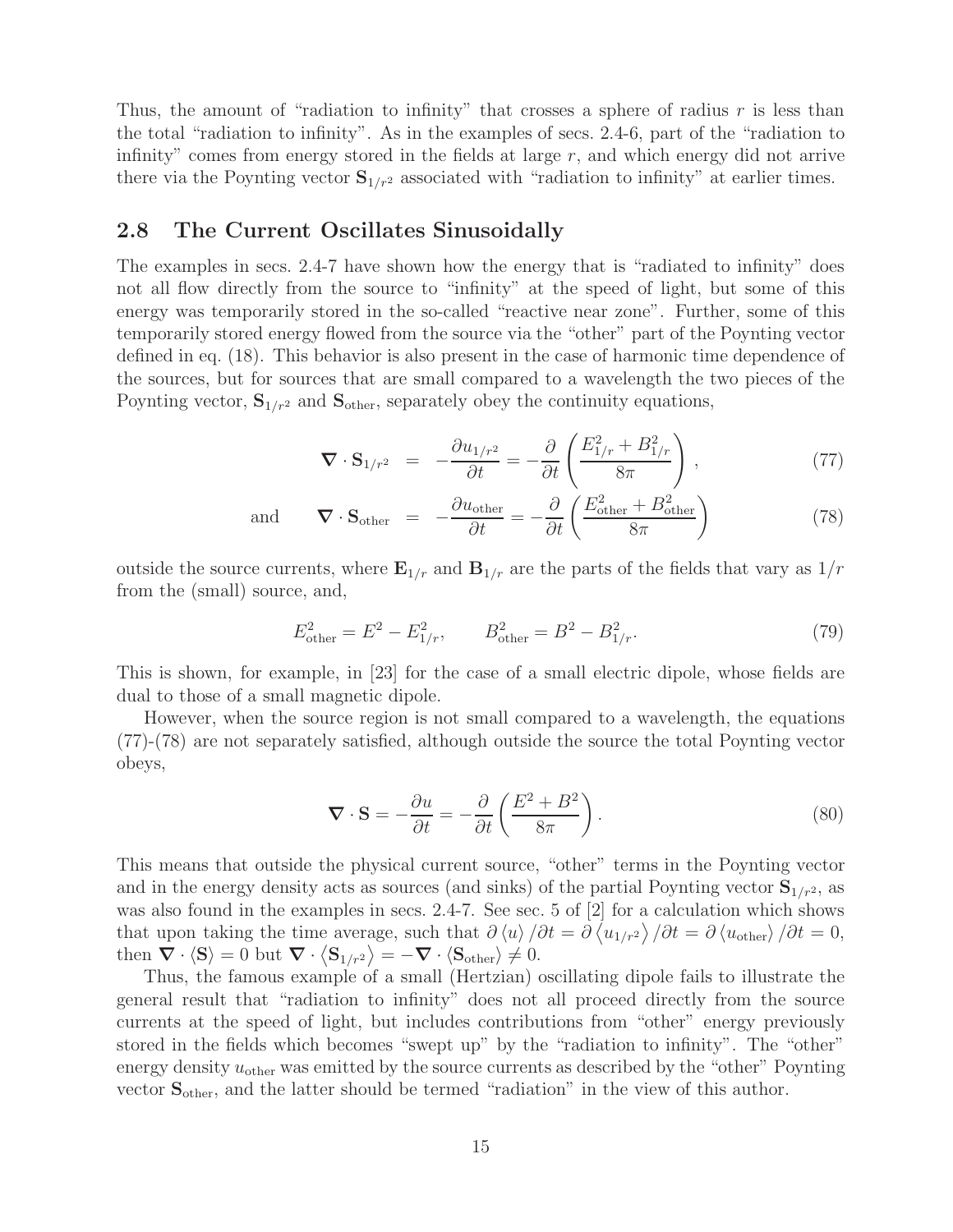Thus, the amount of "radiation to infinity" that crosses a sphere of radius  $r$  is less than the total "radiation to infinity". As in the examples of secs. 2.4-6, part of the "radiation to infinity" comes from energy stored in the fields at large  $r$ , and which energy did not arrive there via the Poynting vector  $S_{1/r^2}$  associated with "radiation to infinity" at earlier times.

## **2.8 The Current Oscillates Sinusoidally**

The examples in secs. 2.4-7 have shown how the energy that is "radiated to infinity" does not all flow directly from the source to "infinity" at the speed of light, but some of this energy was temporarily stored in the so-called "reactive near zone". Further, some of this temporarily stored energy flowed from the source via the "other" part of the Poynting vector defined in eq. (18). This behavior is also present in the case of harmonic time dependence of the sources, but for sources that are small compared to a wavelength the two pieces of the Poynting vector,  $S_{1/r^2}$  and  $S_{other}$ , separately obey the continuity equations,

$$
\nabla \cdot \mathbf{S}_{1/r^2} = -\frac{\partial u_{1/r^2}}{\partial t} = -\frac{\partial}{\partial t} \left( \frac{E_{1/r}^2 + B_{1/r}^2}{8\pi} \right),\tag{77}
$$

and 
$$
\nabla \cdot \mathbf{S}_{\text{other}} = -\frac{\partial u_{\text{other}}}{\partial t} = -\frac{\partial}{\partial t} \left( \frac{E_{\text{other}}^2 + B_{\text{other}}^2}{8\pi} \right)
$$
 (78)

outside the source currents, where  $\mathbf{E}_{1/r}$  and  $\mathbf{B}_{1/r}$  are the parts of the fields that vary as  $1/r$ from the (small) source, and,

$$
E_{\text{other}}^2 = E^2 - E_{1/r}^2, \qquad B_{\text{other}}^2 = B^2 - B_{1/r}^2. \tag{79}
$$

This is shown, for example, in [23] for the case of a small electric dipole, whose fields are dual to those of a small magnetic dipole.

However, when the source region is not small compared to a wavelength, the equations (77)-(78) are not separately satisfied, although outside the source the total Poynting vector obeys,

$$
\nabla \cdot \mathbf{S} = -\frac{\partial u}{\partial t} = -\frac{\partial}{\partial t} \left( \frac{E^2 + B^2}{8\pi} \right). \tag{80}
$$

This means that outside the physical current source, "other" terms in the Poynting vector and in the energy density acts as sources (and sinks) of the partial Poynting vector  $S_{1/r^2}$ , as was also found in the examples in secs. 2.4-7. See sec. 5 of [2] for a calculation which shows that upon taking the time average, such that  $\partial \langle u \rangle / \partial t = \partial \langle u_{1/r^2} \rangle / \partial t = \partial \langle u_{other} \rangle / \partial t = 0$ , then  $\nabla \cdot \langle \mathbf{S} \rangle = 0$  but  $\nabla \cdot \langle \mathbf{S}_{1/r^2} \rangle = -\nabla \cdot \langle \mathbf{S}_{other} \rangle \neq 0.$ 

Thus, the famous example of a small (Hertzian) oscillating dipole fails to illustrate the general result that "radiation to infinity" does not all proceed directly from the source currents at the speed of light, but includes contributions from "other" energy previously stored in the fields which becomes "swept up" by the "radiation to infinity". The "other" energy density  $u_{\text{other}}$  was emitted by the source currents as described by the "other" Poynting vector **S**other, and the latter should be termed "radiation" in the view of this author.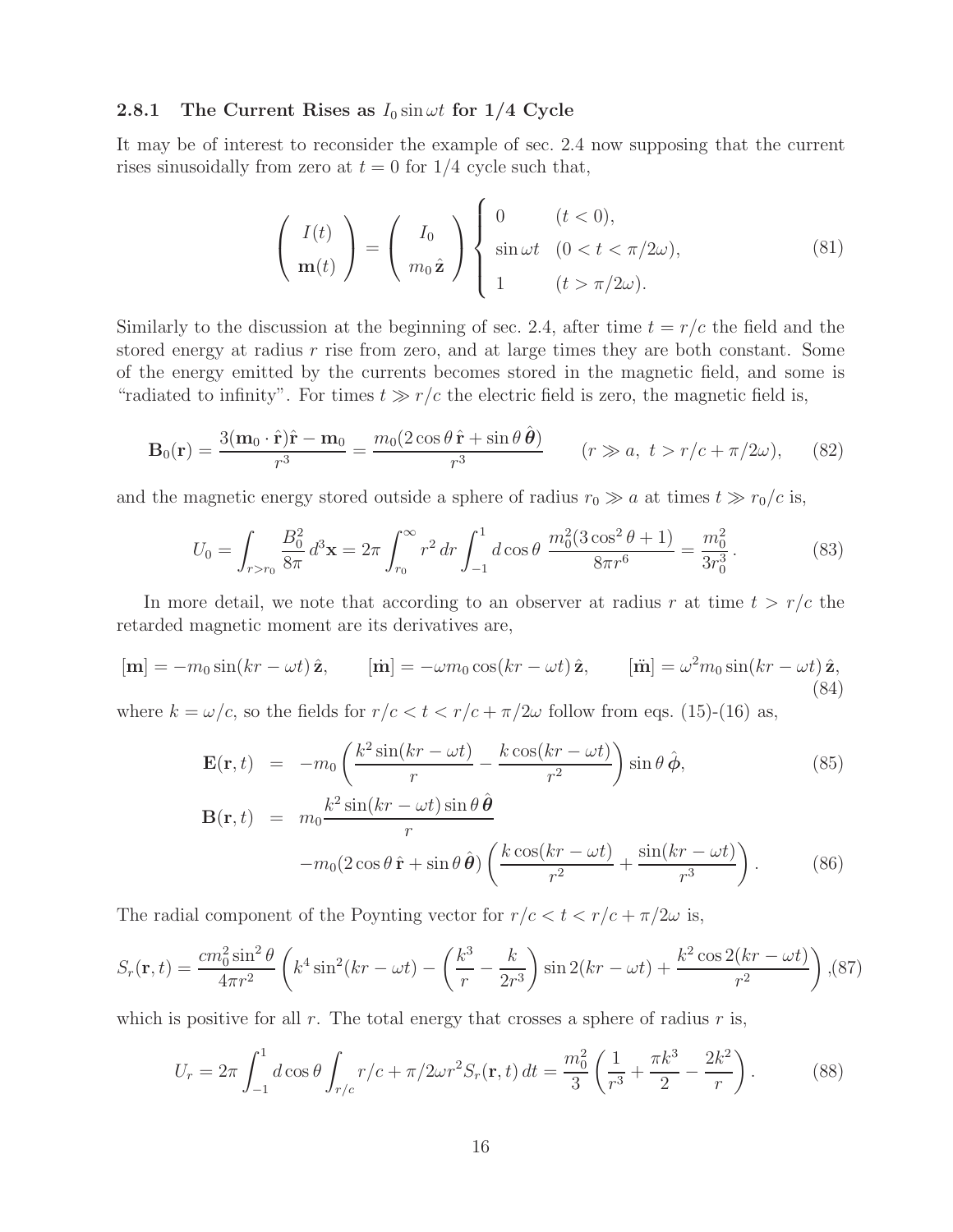#### **2.8.1** The Current Rises as  $I_0 \sin \omega t$  for  $1/4$  Cycle

It may be of interest to reconsider the example of sec. 2.4 now supposing that the current rises sinusoidally from zero at  $t = 0$  for  $1/4$  cycle such that,

$$
\begin{pmatrix} I(t) \\ \mathbf{m}(t) \end{pmatrix} = \begin{pmatrix} I_0 \\ m_0 \hat{\mathbf{z}} \end{pmatrix} \begin{cases} 0 & (t < 0), \\ \sin \omega t & (0 < t < \pi/2\omega), \\ 1 & (t > \pi/2\omega). \end{cases} \tag{81}
$$

Similarly to the discussion at the beginning of sec. 2.4, after time  $t = r/c$  the field and the stored energy at radius  $r$  rise from zero, and at large times they are both constant. Some of the energy emitted by the currents becomes stored in the magnetic field, and some is "radiated to infinity". For times  $t \gg r/c$  the electric field is zero, the magnetic field is,

$$
\mathbf{B}_0(\mathbf{r}) = \frac{3(\mathbf{m}_0 \cdot \hat{\mathbf{r}})\hat{\mathbf{r}} - \mathbf{m}_0}{r^3} = \frac{m_0(2\cos\theta\,\hat{\mathbf{r}} + \sin\theta\,\hat{\boldsymbol{\theta}})}{r^3} \qquad (r \gg a, \ t > r/c + \pi/2\omega), \qquad (82)
$$

and the magnetic energy stored outside a sphere of radius  $r_0 \gg a$  at times  $t \gg r_0/c$  is,

$$
U_0 = \int_{r>r_0} \frac{B_0^2}{8\pi} d^3 \mathbf{x} = 2\pi \int_{r_0}^{\infty} r^2 dr \int_{-1}^1 d\cos\theta \, \frac{m_0^2 (3\cos^2\theta + 1)}{8\pi r^6} = \frac{m_0^2}{3r_0^3}.
$$
 (83)

In more detail, we note that according to an observer at radius r at time  $t > r/c$  the retarded magnetic moment are its derivatives are,

$$
[\mathbf{m}] = -m_0 \sin(kr - \omega t) \hat{\mathbf{z}}, \qquad [\dot{\mathbf{m}}] = -\omega m_0 \cos(kr - \omega t) \hat{\mathbf{z}}, \qquad [\ddot{\mathbf{m}}] = \omega^2 m_0 \sin(kr - \omega t) \hat{\mathbf{z}}, \tag{84}
$$

where  $k = \omega/c$ , so the fields for  $r/c < t < r/c + \pi/2\omega$  follow from eqs. (15)-(16) as,

$$
\mathbf{E}(\mathbf{r},t) = -m_0 \left( \frac{k^2 \sin(kr - \omega t)}{r} - \frac{k \cos(kr - \omega t)}{r^2} \right) \sin \theta \, \hat{\boldsymbol{\phi}},\tag{85}
$$
\n
$$
\mathbf{B}(\mathbf{r},t) = m_0 \frac{k^2 \sin(kr - \omega t) \sin \theta \, \hat{\boldsymbol{\theta}}}{r}
$$
\n
$$
-m_0 (2 \cos \theta \, \hat{\mathbf{r}} + \sin \theta \, \hat{\boldsymbol{\theta}}) \left( \frac{k \cos(kr - \omega t)}{r^2} + \frac{\sin(kr - \omega t)}{r^3} \right). \tag{86}
$$

The radial component of the Poynting vector for  $r/c < t < r/c + \pi/2\omega$  is,

$$
S_r(\mathbf{r}, t) = \frac{cm_0^2 \sin^2 \theta}{4\pi r^2} \left( k^4 \sin^2(kr - \omega t) - \left( \frac{k^3}{r} - \frac{k}{2r^3} \right) \sin 2(kr - \omega t) + \frac{k^2 \cos 2(kr - \omega t)}{r^2} \right), (87)
$$

which is positive for all r. The total energy that crosses a sphere of radius r is,

$$
U_r = 2\pi \int_{-1}^{1} d\cos\theta \int_{r/c} r/c + \pi/2\omega r^2 S_r(\mathbf{r}, t) dt = \frac{m_0^2}{3} \left(\frac{1}{r^3} + \frac{\pi k^3}{2} - \frac{2k^2}{r}\right). \tag{88}
$$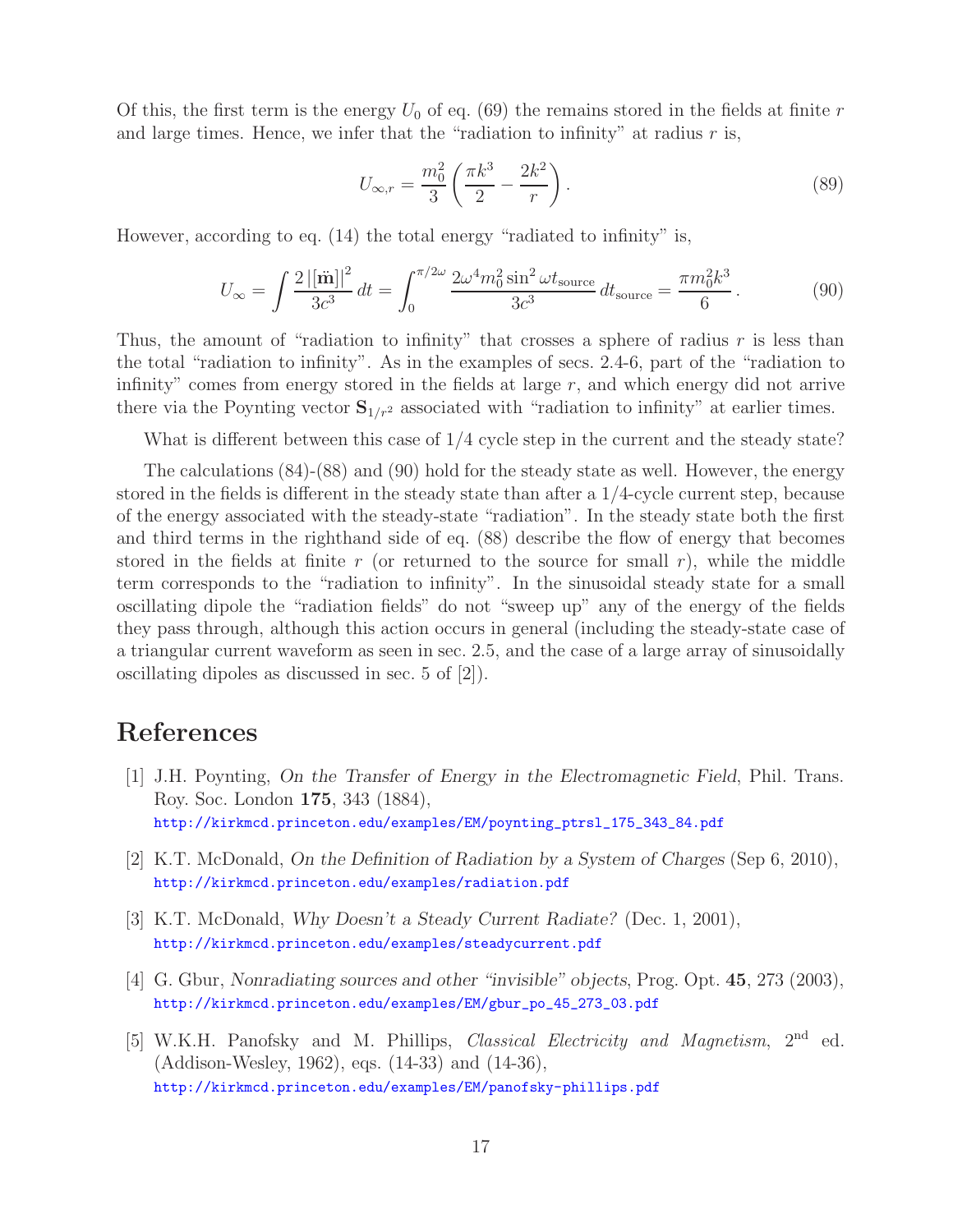Of this, the first term is the energy  $U_0$  of eq. (69) the remains stored in the fields at finite r and large times. Hence, we infer that the "radiation to infinity" at radius  $r$  is,

$$
U_{\infty,r} = \frac{m_0^2}{3} \left( \frac{\pi k^3}{2} - \frac{2k^2}{r} \right).
$$
 (89)

However, according to eq. (14) the total energy "radiated to infinity" is,

$$
U_{\infty} = \int \frac{2\left|[\ddot{\mathbf{m}}]\right|^2}{3c^3} dt = \int_0^{\pi/2\omega} \frac{2\omega^4 m_0^2 \sin^2 \omega t_{\text{source}}}{3c^3} dt_{\text{source}} = \frac{\pi m_0^2 k^3}{6}.
$$
 (90)

Thus, the amount of "radiation to infinity" that crosses a sphere of radius  $r$  is less than the total "radiation to infinity". As in the examples of secs. 2.4-6, part of the "radiation to infinity" comes from energy stored in the fields at large  $r$ , and which energy did not arrive there via the Poynting vector  $S_{1/r^2}$  associated with "radiation to infinity" at earlier times.

What is different between this case of 1/4 cycle step in the current and the steady state?

The calculations (84)-(88) and (90) hold for the steady state as well. However, the energy stored in the fields is different in the steady state than after a 1/4-cycle current step, because of the energy associated with the steady-state "radiation". In the steady state both the first and third terms in the righthand side of eq. (88) describe the flow of energy that becomes stored in the fields at finite r (or returned to the source for small r), while the middle term corresponds to the "radiation to infinity". In the sinusoidal steady state for a small oscillating dipole the "radiation fields" do not "sweep up" any of the energy of the fields they pass through, although this action occurs in general (including the steady-state case of a triangular current waveform as seen in sec. 2.5, and the case of a large array of sinusoidally oscillating dipoles as discussed in sec. 5 of [2]).

# **References**

- [1] J.H. Poynting, *On the Transfer of Energy in the Electromagnetic Field*, Phil. Trans. Roy. Soc. London **175**, 343 (1884), http://kirkmcd.princeton.edu/examples/EM/poynting\_ptrsl\_175\_343\_84.pdf
- [2] K.T. McDonald, *On the Definition of Radiation by a System of Charges* (Sep 6, 2010), http://kirkmcd.princeton.edu/examples/radiation.pdf
- [3] K.T. McDonald, *Why Doesn't a Steady Current Radiate?* (Dec. 1, 2001), http://kirkmcd.princeton.edu/examples/steadycurrent.pdf
- [4] G. Gbur, *Nonradiating sources and other "invisible" objects*, Prog. Opt. **45**, 273 (2003), http://kirkmcd.princeton.edu/examples/EM/gbur\_po\_45\_273\_03.pdf
- [5] W.K.H. Panofsky and M. Phillips, *Classical Electricity and Magnetism*, 2nd ed. (Addison-Wesley, 1962), eqs. (14-33) and (14-36), http://kirkmcd.princeton.edu/examples/EM/panofsky-phillips.pdf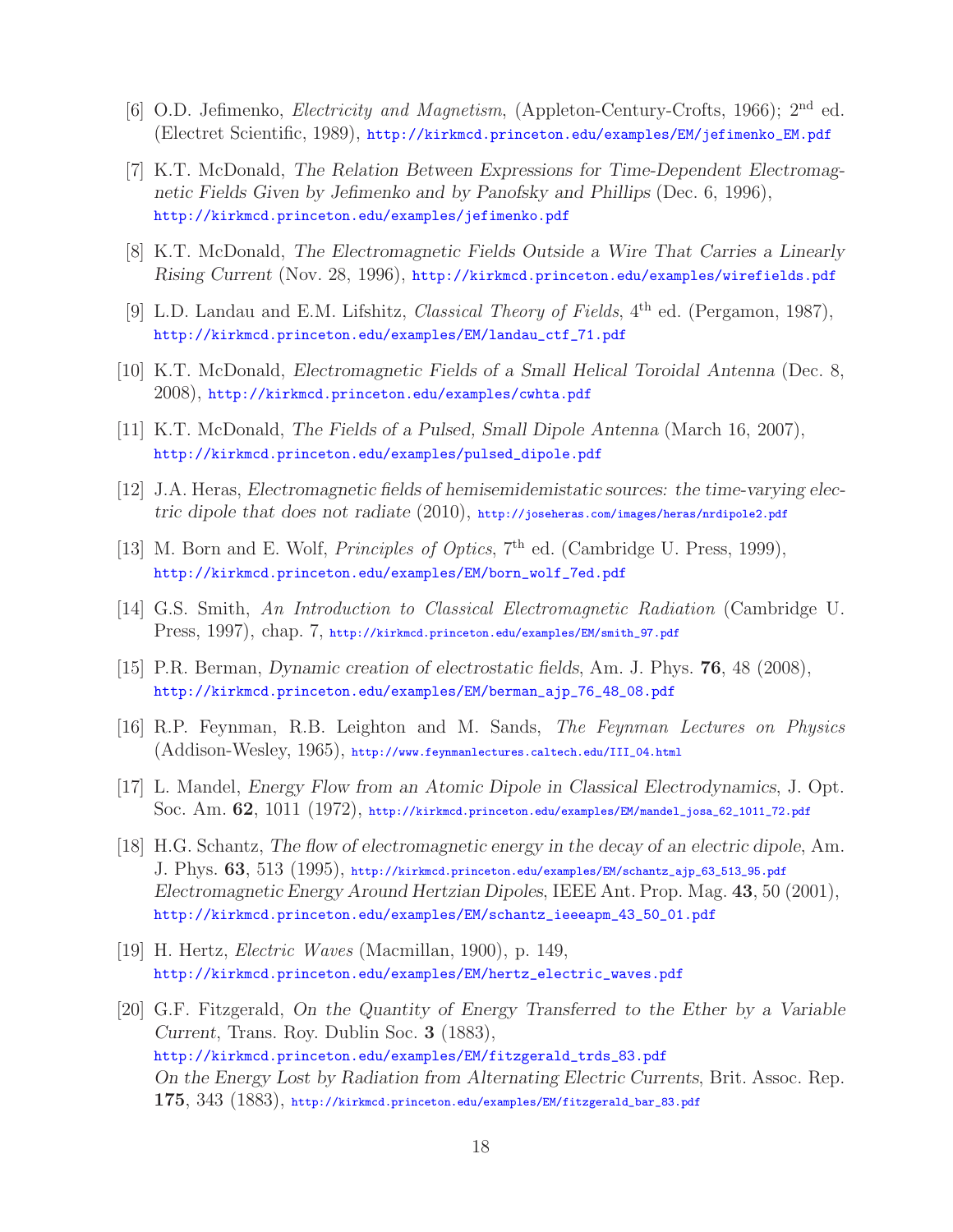- [6] O.D. Jefimenko, *Electricity and Magnetism*, (Appleton-Century-Crofts, 1966); 2nd ed. (Electret Scientific, 1989), http://kirkmcd.princeton.edu/examples/EM/jefimenko\_EM.pdf
- [7] K.T. McDonald, *The Relation Between Expressions for Time-Dependent Electromagnetic Fields Given by Jefimenko and by Panofsky and Phillips* (Dec. 6, 1996), http://kirkmcd.princeton.edu/examples/jefimenko.pdf
- [8] K.T. McDonald, *The Electromagnetic Fields Outside a Wire That Carries a Linearly Rising Current* (Nov. 28, 1996), http://kirkmcd.princeton.edu/examples/wirefields.pdf
- [9] L.D. Landau and E.M. Lifshitz, *Classical Theory of Fields*, 4th ed. (Pergamon, 1987), http://kirkmcd.princeton.edu/examples/EM/landau\_ctf\_71.pdf
- [10] K.T. McDonald, *Electromagnetic Fields of a Small Helical Toroidal Antenna* (Dec. 8, 2008), http://kirkmcd.princeton.edu/examples/cwhta.pdf
- [11] K.T. McDonald, *The Fields of a Pulsed, Small Dipole Antenna* (March 16, 2007), http://kirkmcd.princeton.edu/examples/pulsed\_dipole.pdf
- [12] J.A. Heras, *Electromagnetic fields of hemisemidemistatic sources: the time-varying electric dipole that does not radiate* (2010), http://joseheras.com/images/heras/nrdipole2.pdf
- [13] M. Born and E. Wolf, *Principles of Optics*, 7<sup>th</sup> ed. (Cambridge U. Press, 1999), http://kirkmcd.princeton.edu/examples/EM/born\_wolf\_7ed.pdf
- [14] G.S. Smith, *An Introduction to Classical Electromagnetic Radiation* (Cambridge U. Press, 1997), chap. 7, http://kirkmcd.princeton.edu/examples/EM/smith\_97.pdf
- [15] P.R. Berman, *Dynamic creation of electrostatic fields*, Am. J. Phys. **76**, 48 (2008), http://kirkmcd.princeton.edu/examples/EM/berman\_ajp\_76\_48\_08.pdf
- [16] R.P. Feynman, R.B. Leighton and M. Sands, *The Feynman Lectures on Physics* (Addison-Wesley, 1965), http://www.feynmanlectures.caltech.edu/III\_04.html
- [17] L. Mandel, *Energy Flow from an Atomic Dipole in Classical Electrodynamics*, J. Opt. Soc. Am. **62**, 1011 (1972), http://kirkmcd.princeton.edu/examples/EM/mandel\_josa\_62\_1011\_72.pdf
- [18] H.G. Schantz, *The flow of electromagnetic energy in the decay of an electric dipole*, Am. J. Phys. **63**, 513 (1995), http://kirkmcd.princeton.edu/examples/EM/schantz\_ajp\_63\_513\_95.pdf *Electromagnetic Energy Around Hertzian Dipoles*, IEEE Ant. Prop. Mag. **43**, 50 (2001), http://kirkmcd.princeton.edu/examples/EM/schantz\_ieeeapm\_43\_50\_01.pdf
- [19] H. Hertz, *Electric Waves* (Macmillan, 1900), p. 149, http://kirkmcd.princeton.edu/examples/EM/hertz\_electric\_waves.pdf
- [20] G.F. Fitzgerald, *On the Quantity of Energy Transferred to the Ether by a Variable Current*, Trans. Roy. Dublin Soc. **3** (1883), http://kirkmcd.princeton.edu/examples/EM/fitzgerald\_trds\_83.pdf *On the Energy Lost by Radiation from Alternating Electric Currents*, Brit. Assoc. Rep. **175**, 343 (1883), http://kirkmcd.princeton.edu/examples/EM/fitzgerald\_bar\_83.pdf